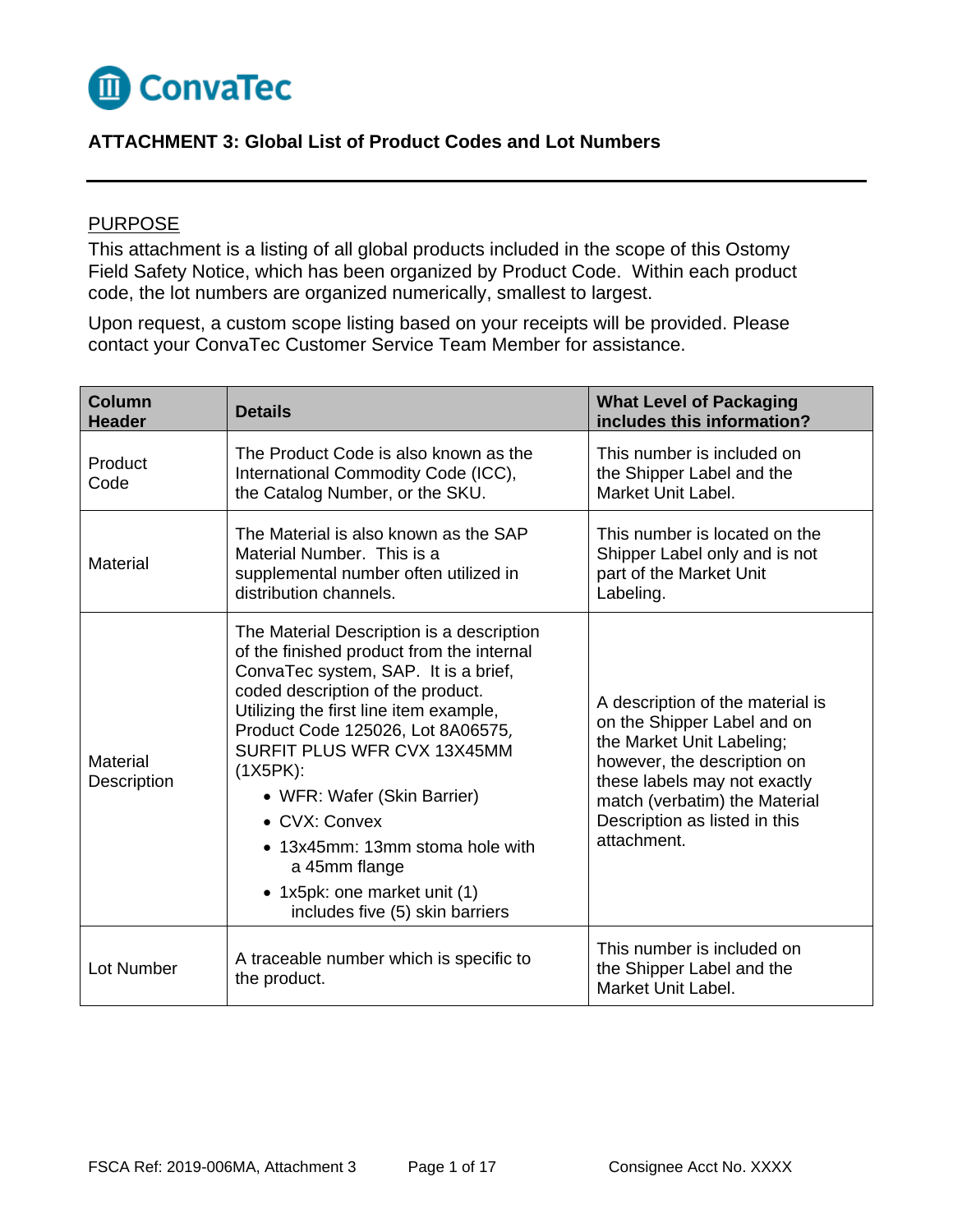

## **ATTACHMENT 3: Global List of Product Codes and Lot Numbers**

## PURPOSE

This attachment is a listing of all global products included in the scope of this Ostomy Field Safety Notice, which has been organized by Product Code. Within each product code, the lot numbers are organized numerically, smallest to largest.

Upon request, a custom scope listing based on your receipts will be provided. Please contact your ConvaTec Customer Service Team Member for assistance.

| Column<br><b>Header</b> | <b>Details</b>                                                                                                                                                                                                                                                                                                                                                                                                                                                       | <b>What Level of Packaging</b><br>includes this information?                                                                                                                                                                                 |
|-------------------------|----------------------------------------------------------------------------------------------------------------------------------------------------------------------------------------------------------------------------------------------------------------------------------------------------------------------------------------------------------------------------------------------------------------------------------------------------------------------|----------------------------------------------------------------------------------------------------------------------------------------------------------------------------------------------------------------------------------------------|
| Product<br>Code         | The Product Code is also known as the<br>International Commodity Code (ICC),<br>the Catalog Number, or the SKU.                                                                                                                                                                                                                                                                                                                                                      | This number is included on<br>the Shipper Label and the<br>Market Unit Label.                                                                                                                                                                |
| Material                | The Material is also known as the SAP<br>Material Number. This is a<br>supplemental number often utilized in<br>distribution channels.                                                                                                                                                                                                                                                                                                                               | This number is located on the<br>Shipper Label only and is not<br>part of the Market Unit<br>Labeling.                                                                                                                                       |
| Material<br>Description | The Material Description is a description<br>of the finished product from the internal<br>ConvaTec system, SAP. It is a brief,<br>coded description of the product.<br>Utilizing the first line item example,<br>Product Code 125026, Lot 8A06575,<br>SURFIT PLUS WFR CVX 13X45MM<br>(1X5PK):<br>• WFR: Wafer (Skin Barrier)<br>• CVX: Convex<br>• 13x45mm: 13mm stoma hole with<br>a 45mm flange<br>• 1x5pk: one market unit (1)<br>includes five (5) skin barriers | A description of the material is<br>on the Shipper Label and on<br>the Market Unit Labeling;<br>however, the description on<br>these labels may not exactly<br>match (verbatim) the Material<br>Description as listed in this<br>attachment. |
| Lot Number              | A traceable number which is specific to<br>the product.                                                                                                                                                                                                                                                                                                                                                                                                              | This number is included on<br>the Shipper Label and the<br>Market Unit Label.                                                                                                                                                                |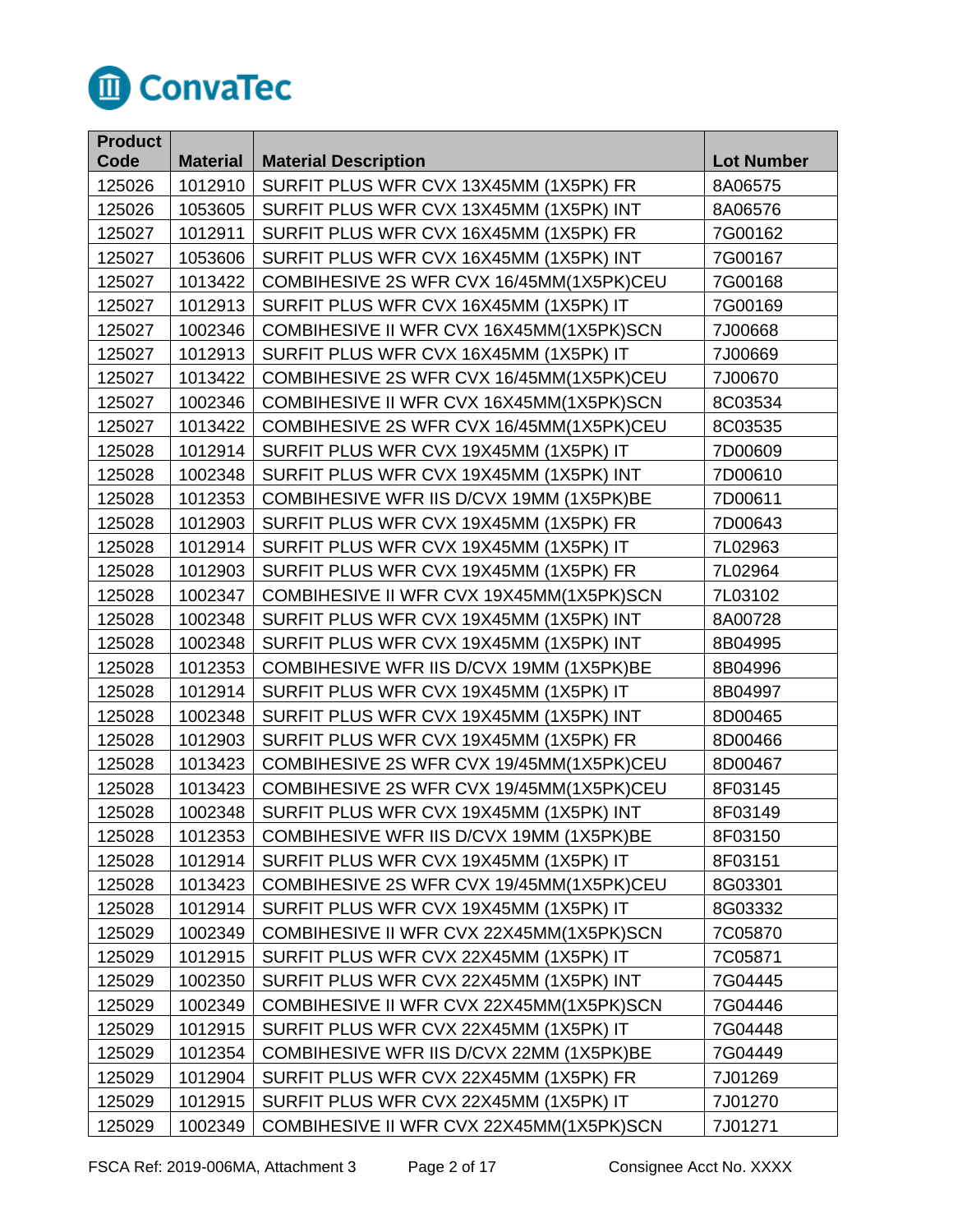

| <b>Product</b> |                 |                                           |                   |
|----------------|-----------------|-------------------------------------------|-------------------|
| Code           | <b>Material</b> | <b>Material Description</b>               | <b>Lot Number</b> |
| 125026         | 1012910         | SURFIT PLUS WFR CVX 13X45MM (1X5PK) FR    | 8A06575           |
| 125026         | 1053605         | SURFIT PLUS WFR CVX 13X45MM (1X5PK) INT   | 8A06576           |
| 125027         | 1012911         | SURFIT PLUS WFR CVX 16X45MM (1X5PK) FR    | 7G00162           |
| 125027         | 1053606         | SURFIT PLUS WFR CVX 16X45MM (1X5PK) INT   | 7G00167           |
| 125027         | 1013422         | COMBIHESIVE 2S WFR CVX 16/45MM(1X5PK)CEU  | 7G00168           |
| 125027         | 1012913         | SURFIT PLUS WFR CVX 16X45MM (1X5PK) IT    | 7G00169           |
| 125027         | 1002346         | COMBIHESIVE II WFR CVX 16X45MM(1X5PK)SCN  | 7J00668           |
| 125027         | 1012913         | SURFIT PLUS WFR CVX 16X45MM (1X5PK) IT    | 7J00669           |
| 125027         | 1013422         | COMBIHESIVE 2S WFR CVX 16/45MM (1X5PK)CEU | 7J00670           |
| 125027         | 1002346         | COMBIHESIVE II WFR CVX 16X45MM(1X5PK)SCN  | 8C03534           |
| 125027         | 1013422         | COMBIHESIVE 2S WFR CVX 16/45MM(1X5PK)CEU  | 8C03535           |
| 125028         | 1012914         | SURFIT PLUS WFR CVX 19X45MM (1X5PK) IT    | 7D00609           |
| 125028         | 1002348         | SURFIT PLUS WFR CVX 19X45MM (1X5PK) INT   | 7D00610           |
| 125028         | 1012353         | COMBIHESIVE WFR IIS D/CVX 19MM (1X5PK)BE  | 7D00611           |
| 125028         | 1012903         | SURFIT PLUS WFR CVX 19X45MM (1X5PK) FR    | 7D00643           |
| 125028         | 1012914         | SURFIT PLUS WFR CVX 19X45MM (1X5PK) IT    | 7L02963           |
| 125028         | 1012903         | SURFIT PLUS WFR CVX 19X45MM (1X5PK) FR    | 7L02964           |
| 125028         | 1002347         | COMBIHESIVE II WFR CVX 19X45MM(1X5PK)SCN  | 7L03102           |
| 125028         | 1002348         | SURFIT PLUS WFR CVX 19X45MM (1X5PK) INT   | 8A00728           |
| 125028         | 1002348         | SURFIT PLUS WFR CVX 19X45MM (1X5PK) INT   | 8B04995           |
| 125028         | 1012353         | COMBIHESIVE WFR IIS D/CVX 19MM (1X5PK)BE  | 8B04996           |
| 125028         | 1012914         | SURFIT PLUS WFR CVX 19X45MM (1X5PK) IT    | 8B04997           |
| 125028         | 1002348         | SURFIT PLUS WFR CVX 19X45MM (1X5PK) INT   | 8D00465           |
| 125028         | 1012903         | SURFIT PLUS WFR CVX 19X45MM (1X5PK) FR    | 8D00466           |
| 125028         | 1013423         | COMBIHESIVE 2S WFR CVX 19/45MM(1X5PK)CEU  | 8D00467           |
| 125028         | 1013423         | COMBIHESIVE 2S WFR CVX 19/45MM(1X5PK)CEU  | 8F03145           |
| 125028         | 1002348         | SURFIT PLUS WFR CVX 19X45MM (1X5PK) INT   | 8F03149           |
| 125028         | 1012353         | COMBIHESIVE WFR IIS D/CVX 19MM (1X5PK)BE  | 8F03150           |
| 125028         | 1012914         | SURFIT PLUS WFR CVX 19X45MM (1X5PK) IT    | 8F03151           |
| 125028         | 1013423         | COMBIHESIVE 2S WFR CVX 19/45MM(1X5PK)CEU  | 8G03301           |
| 125028         | 1012914         | SURFIT PLUS WFR CVX 19X45MM (1X5PK) IT    | 8G03332           |
| 125029         | 1002349         | COMBIHESIVE II WFR CVX 22X45MM(1X5PK)SCN  | 7C05870           |
| 125029         | 1012915         | SURFIT PLUS WFR CVX 22X45MM (1X5PK) IT    | 7C05871           |
| 125029         | 1002350         | SURFIT PLUS WFR CVX 22X45MM (1X5PK) INT   | 7G04445           |
| 125029         | 1002349         | COMBIHESIVE II WFR CVX 22X45MM(1X5PK)SCN  | 7G04446           |
| 125029         | 1012915         | SURFIT PLUS WFR CVX 22X45MM (1X5PK) IT    | 7G04448           |
| 125029         | 1012354         | COMBIHESIVE WFR IIS D/CVX 22MM (1X5PK)BE  | 7G04449           |
| 125029         | 1012904         | SURFIT PLUS WFR CVX 22X45MM (1X5PK) FR    | 7J01269           |
| 125029         | 1012915         | SURFIT PLUS WFR CVX 22X45MM (1X5PK) IT    | 7J01270           |
| 125029         | 1002349         | COMBIHESIVE II WFR CVX 22X45MM(1X5PK)SCN  | 7J01271           |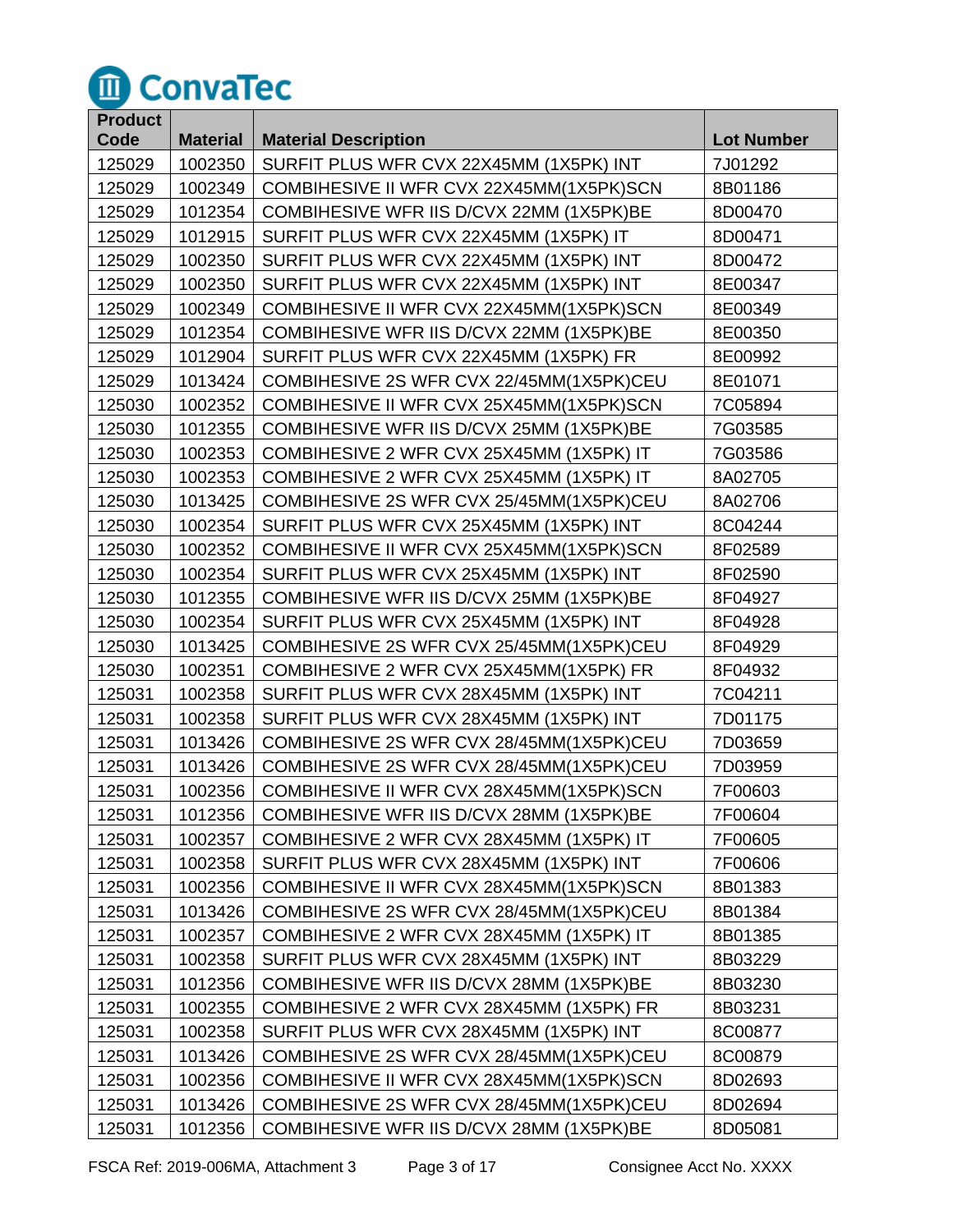

| <b>Product</b> |                 |                                          |                   |
|----------------|-----------------|------------------------------------------|-------------------|
| Code           | <b>Material</b> | <b>Material Description</b>              | <b>Lot Number</b> |
| 125029         | 1002350         | SURFIT PLUS WFR CVX 22X45MM (1X5PK) INT  | 7J01292           |
| 125029         | 1002349         | COMBIHESIVE II WFR CVX 22X45MM(1X5PK)SCN | 8B01186           |
| 125029         | 1012354         | COMBIHESIVE WFR IIS D/CVX 22MM (1X5PK)BE | 8D00470           |
| 125029         | 1012915         | SURFIT PLUS WFR CVX 22X45MM (1X5PK) IT   | 8D00471           |
| 125029         | 1002350         | SURFIT PLUS WFR CVX 22X45MM (1X5PK) INT  | 8D00472           |
| 125029         | 1002350         | SURFIT PLUS WFR CVX 22X45MM (1X5PK) INT  | 8E00347           |
| 125029         | 1002349         | COMBIHESIVE II WFR CVX 22X45MM(1X5PK)SCN | 8E00349           |
| 125029         | 1012354         | COMBIHESIVE WFR IIS D/CVX 22MM (1X5PK)BE | 8E00350           |
| 125029         | 1012904         | SURFIT PLUS WFR CVX 22X45MM (1X5PK) FR   | 8E00992           |
| 125029         | 1013424         | COMBIHESIVE 2S WFR CVX 22/45MM(1X5PK)CEU | 8E01071           |
| 125030         | 1002352         | COMBIHESIVE II WFR CVX 25X45MM(1X5PK)SCN | 7C05894           |
| 125030         | 1012355         | COMBIHESIVE WFR IIS D/CVX 25MM (1X5PK)BE | 7G03585           |
| 125030         | 1002353         | COMBIHESIVE 2 WFR CVX 25X45MM (1X5PK) IT | 7G03586           |
| 125030         | 1002353         | COMBIHESIVE 2 WFR CVX 25X45MM (1X5PK) IT | 8A02705           |
| 125030         | 1013425         | COMBIHESIVE 2S WFR CVX 25/45MM(1X5PK)CEU | 8A02706           |
| 125030         | 1002354         | SURFIT PLUS WFR CVX 25X45MM (1X5PK) INT  | 8C04244           |
| 125030         | 1002352         | COMBIHESIVE II WFR CVX 25X45MM(1X5PK)SCN | 8F02589           |
| 125030         | 1002354         | SURFIT PLUS WFR CVX 25X45MM (1X5PK) INT  | 8F02590           |
| 125030         | 1012355         | COMBIHESIVE WFR IIS D/CVX 25MM (1X5PK)BE | 8F04927           |
| 125030         | 1002354         | SURFIT PLUS WFR CVX 25X45MM (1X5PK) INT  | 8F04928           |
| 125030         | 1013425         | COMBIHESIVE 2S WFR CVX 25/45MM(1X5PK)CEU | 8F04929           |
| 125030         | 1002351         | COMBIHESIVE 2 WFR CVX 25X45MM(1X5PK) FR  | 8F04932           |
| 125031         | 1002358         | SURFIT PLUS WFR CVX 28X45MM (1X5PK) INT  | 7C04211           |
| 125031         | 1002358         | SURFIT PLUS WFR CVX 28X45MM (1X5PK) INT  | 7D01175           |
| 125031         | 1013426         | COMBIHESIVE 2S WFR CVX 28/45MM(1X5PK)CEU | 7D03659           |
| 125031         | 1013426         | COMBIHESIVE 2S WFR CVX 28/45MM(1X5PK)CEU | 7D03959           |
| 125031         | 1002356         | COMBIHESIVE II WFR CVX 28X45MM(1X5PK)SCN | 7F00603           |
| 125031         | 1012356         | COMBIHESIVE WFR IIS D/CVX 28MM (1X5PK)BE | 7F00604           |
| 125031         | 1002357         | COMBIHESIVE 2 WFR CVX 28X45MM (1X5PK) IT | 7F00605           |
| 125031         | 1002358         | SURFIT PLUS WFR CVX 28X45MM (1X5PK) INT  | 7F00606           |
| 125031         | 1002356         | COMBIHESIVE II WFR CVX 28X45MM(1X5PK)SCN | 8B01383           |
| 125031         | 1013426         | COMBIHESIVE 2S WFR CVX 28/45MM(1X5PK)CEU | 8B01384           |
| 125031         | 1002357         | COMBIHESIVE 2 WFR CVX 28X45MM (1X5PK) IT | 8B01385           |
| 125031         | 1002358         | SURFIT PLUS WFR CVX 28X45MM (1X5PK) INT  | 8B03229           |
| 125031         | 1012356         | COMBIHESIVE WFR IIS D/CVX 28MM (1X5PK)BE | 8B03230           |
| 125031         | 1002355         | COMBIHESIVE 2 WFR CVX 28X45MM (1X5PK) FR | 8B03231           |
| 125031         | 1002358         | SURFIT PLUS WFR CVX 28X45MM (1X5PK) INT  | 8C00877           |
| 125031         | 1013426         | COMBIHESIVE 2S WFR CVX 28/45MM(1X5PK)CEU | 8C00879           |
| 125031         | 1002356         | COMBIHESIVE II WFR CVX 28X45MM(1X5PK)SCN | 8D02693           |
| 125031         | 1013426         | COMBIHESIVE 2S WFR CVX 28/45MM(1X5PK)CEU | 8D02694           |
| 125031         | 1012356         | COMBIHESIVE WFR IIS D/CVX 28MM (1X5PK)BE | 8D05081           |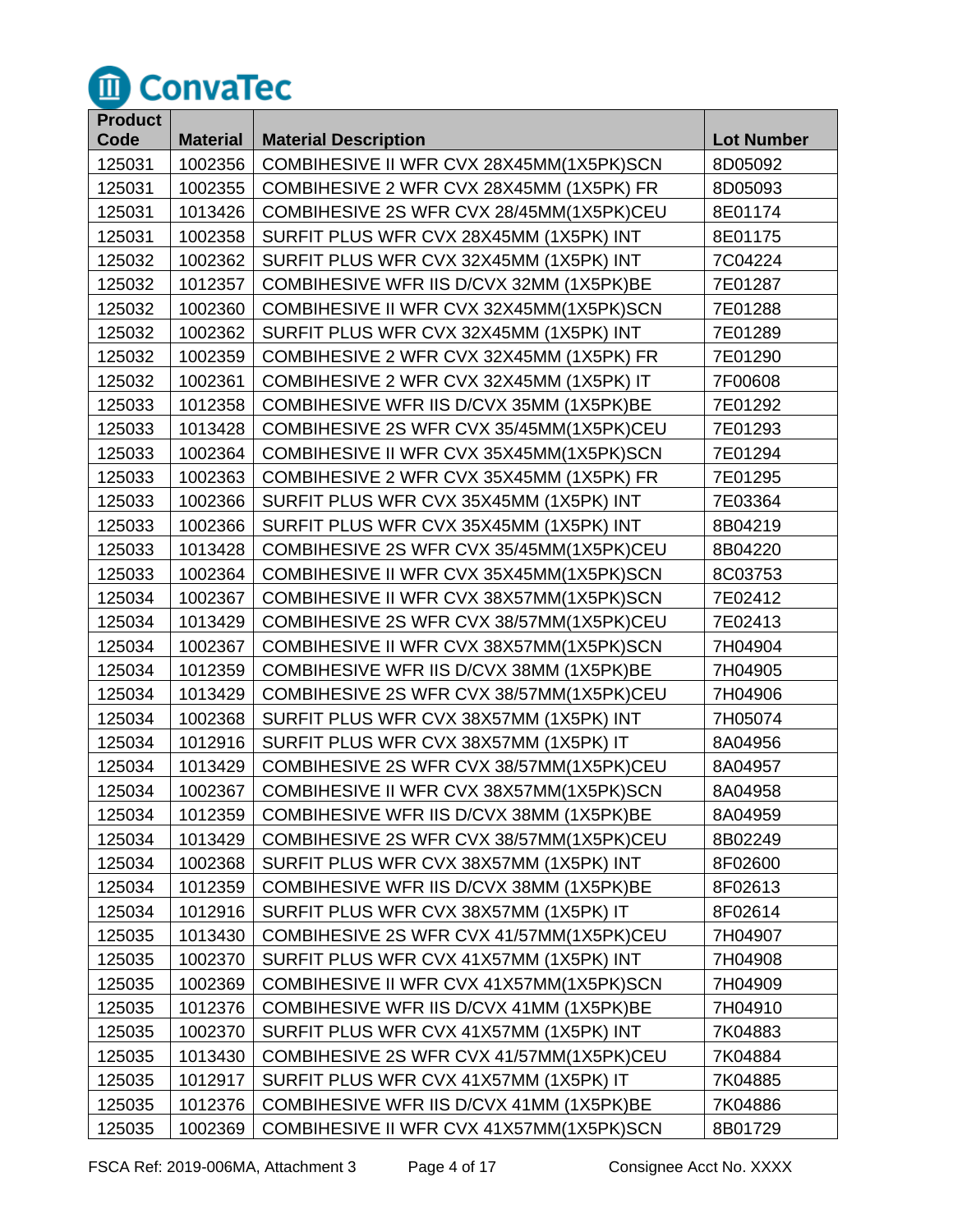

| <b>Product</b> |                 |                                            |                   |
|----------------|-----------------|--------------------------------------------|-------------------|
| Code           | <b>Material</b> | <b>Material Description</b>                | <b>Lot Number</b> |
| 125031         | 1002356         | COMBIHESIVE II WFR CVX 28X45MM(1X5PK)SCN   | 8D05092           |
| 125031         | 1002355         | COMBIHESIVE 2 WFR CVX 28X45MM (1X5PK) FR   | 8D05093           |
| 125031         | 1013426         | COMBIHESIVE 2S WFR CVX 28/45MM(1X5PK)CEU   | 8E01174           |
| 125031         | 1002358         | SURFIT PLUS WFR CVX 28X45MM (1X5PK) INT    | 8E01175           |
| 125032         | 1002362         | SURFIT PLUS WFR CVX 32X45MM (1X5PK) INT    | 7C04224           |
| 125032         | 1012357         | COMBIHESIVE WFR IIS D/CVX 32MM (1X5PK)BE   | 7E01287           |
| 125032         | 1002360         | COMBIHESIVE II WFR CVX 32X45MM(1X5PK)SCN   | 7E01288           |
| 125032         | 1002362         | SURFIT PLUS WFR CVX 32X45MM (1X5PK) INT    | 7E01289           |
| 125032         | 1002359         | COMBIHESIVE 2 WFR CVX 32X45MM (1X5PK) FR   | 7E01290           |
| 125032         | 1002361         | COMBIHESIVE 2 WFR CVX 32X45MM (1X5PK) IT   | 7F00608           |
| 125033         | 1012358         | COMBIHESIVE WFR IIS D/CVX 35MM (1X5PK)BE   | 7E01292           |
| 125033         | 1013428         | COMBIHESIVE 2S WFR CVX 35/45MM (1X5PK)CEU  | 7E01293           |
| 125033         | 1002364         | COMBIHESIVE II WFR CVX 35X45MM(1X5PK)SCN   | 7E01294           |
| 125033         | 1002363         | COMBIHESIVE 2 WFR CVX 35X45MM (1X5PK) FR   | 7E01295           |
| 125033         | 1002366         | SURFIT PLUS WFR CVX 35X45MM (1X5PK) INT    | 7E03364           |
| 125033         | 1002366         | SURFIT PLUS WFR CVX 35X45MM (1X5PK) INT    | 8B04219           |
| 125033         | 1013428         | COMBIHESIVE 2S WFR CVX 35/45MM (1X5PK)CEU  | 8B04220           |
| 125033         | 1002364         | COMBIHESIVE II WFR CVX 35X45MM(1X5PK)SCN   | 8C03753           |
| 125034         | 1002367         | COMBIHESIVE II WFR CVX 38X57MM(1X5PK)SCN   | 7E02412           |
| 125034         | 1013429         | COMBIHESIVE 2S WFR CVX 38/57MM(1X5PK)CEU   | 7E02413           |
| 125034         | 1002367         | COMBIHESIVE II WFR CVX 38X57MM(1X5PK)SCN   | 7H04904           |
| 125034         | 1012359         | COMBIHESIVE WFR IIS D/CVX 38MM (1X5PK)BE   | 7H04905           |
| 125034         | 1013429         | COMBIHESIVE 2S WFR CVX 38/57MM (1X5PK) CEU | 7H04906           |
| 125034         | 1002368         | SURFIT PLUS WFR CVX 38X57MM (1X5PK) INT    | 7H05074           |
| 125034         | 1012916         | SURFIT PLUS WFR CVX 38X57MM (1X5PK) IT     | 8A04956           |
| 125034         | 1013429         | COMBIHESIVE 2S WFR CVX 38/57MM(1X5PK)CEU   | 8A04957           |
| 125034         | 1002367         | COMBIHESIVE II WFR CVX 38X57MM(1X5PK)SCN   | 8A04958           |
| 125034         | 1012359         | COMBIHESIVE WFR IIS D/CVX 38MM (1X5PK)BE   | 8A04959           |
| 125034         | 1013429         | COMBIHESIVE 2S WFR CVX 38/57MM(1X5PK)CEU   | 8B02249           |
| 125034         | 1002368         | SURFIT PLUS WFR CVX 38X57MM (1X5PK) INT    | 8F02600           |
| 125034         | 1012359         | COMBIHESIVE WFR IIS D/CVX 38MM (1X5PK)BE   | 8F02613           |
| 125034         | 1012916         | SURFIT PLUS WFR CVX 38X57MM (1X5PK) IT     | 8F02614           |
| 125035         | 1013430         | COMBIHESIVE 2S WFR CVX 41/57MM (1X5PK)CEU  | 7H04907           |
| 125035         | 1002370         | SURFIT PLUS WFR CVX 41X57MM (1X5PK) INT    | 7H04908           |
| 125035         | 1002369         | COMBIHESIVE II WFR CVX 41X57MM(1X5PK)SCN   | 7H04909           |
| 125035         | 1012376         | COMBIHESIVE WFR IIS D/CVX 41MM (1X5PK)BE   | 7H04910           |
| 125035         | 1002370         | SURFIT PLUS WFR CVX 41X57MM (1X5PK) INT    | 7K04883           |
| 125035         | 1013430         | COMBIHESIVE 2S WFR CVX 41/57MM (1X5PK)CEU  | 7K04884           |
| 125035         | 1012917         | SURFIT PLUS WFR CVX 41X57MM (1X5PK) IT     | 7K04885           |
| 125035         | 1012376         | COMBIHESIVE WFR IIS D/CVX 41MM (1X5PK)BE   | 7K04886           |
| 125035         | 1002369         | COMBIHESIVE II WFR CVX 41X57MM(1X5PK)SCN   | 8B01729           |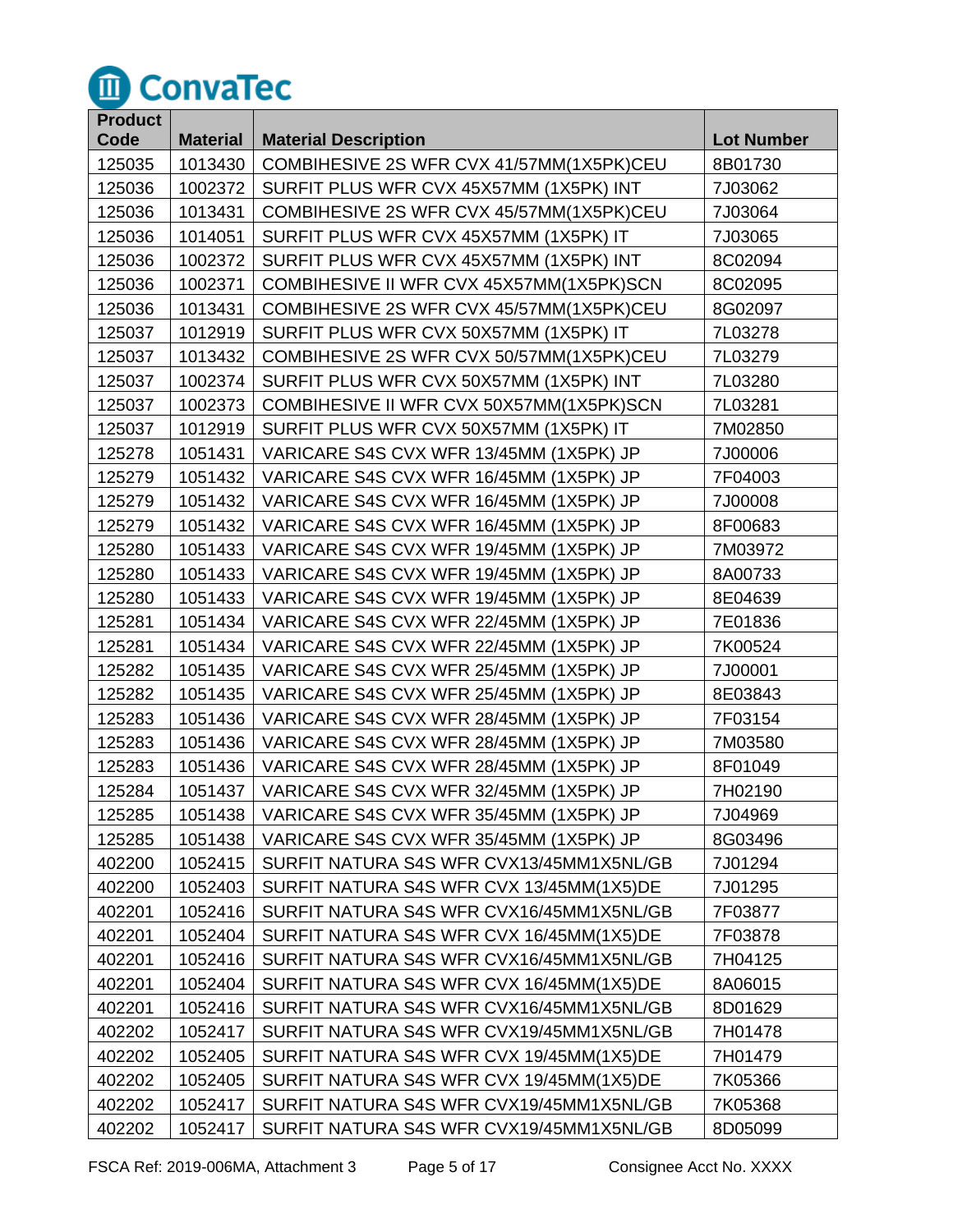

| <b>Product</b> |                 |                                          |                   |
|----------------|-----------------|------------------------------------------|-------------------|
| Code           | <b>Material</b> | <b>Material Description</b>              | <b>Lot Number</b> |
| 125035         | 1013430         | COMBIHESIVE 2S WFR CVX 41/57MM(1X5PK)CEU | 8B01730           |
| 125036         | 1002372         | SURFIT PLUS WFR CVX 45X57MM (1X5PK) INT  | 7J03062           |
| 125036         | 1013431         | COMBIHESIVE 2S WFR CVX 45/57MM(1X5PK)CEU | 7J03064           |
| 125036         | 1014051         | SURFIT PLUS WFR CVX 45X57MM (1X5PK) IT   | 7J03065           |
| 125036         | 1002372         | SURFIT PLUS WFR CVX 45X57MM (1X5PK) INT  | 8C02094           |
| 125036         | 1002371         | COMBIHESIVE II WFR CVX 45X57MM(1X5PK)SCN | 8C02095           |
| 125036         | 1013431         | COMBIHESIVE 2S WFR CVX 45/57MM(1X5PK)CEU | 8G02097           |
| 125037         | 1012919         | SURFIT PLUS WFR CVX 50X57MM (1X5PK) IT   | 7L03278           |
| 125037         | 1013432         | COMBIHESIVE 2S WFR CVX 50/57MM(1X5PK)CEU | 7L03279           |
| 125037         | 1002374         | SURFIT PLUS WFR CVX 50X57MM (1X5PK) INT  | 7L03280           |
| 125037         | 1002373         | COMBIHESIVE II WFR CVX 50X57MM(1X5PK)SCN | 7L03281           |
| 125037         | 1012919         | SURFIT PLUS WFR CVX 50X57MM (1X5PK) IT   | 7M02850           |
| 125278         | 1051431         | VARICARE S4S CVX WFR 13/45MM (1X5PK) JP  | 7J00006           |
| 125279         | 1051432         | VARICARE S4S CVX WFR 16/45MM (1X5PK) JP  | 7F04003           |
| 125279         | 1051432         | VARICARE S4S CVX WFR 16/45MM (1X5PK) JP  | 7J00008           |
| 125279         | 1051432         | VARICARE S4S CVX WFR 16/45MM (1X5PK) JP  | 8F00683           |
| 125280         | 1051433         | VARICARE S4S CVX WFR 19/45MM (1X5PK) JP  | 7M03972           |
| 125280         | 1051433         | VARICARE S4S CVX WFR 19/45MM (1X5PK) JP  | 8A00733           |
| 125280         | 1051433         | VARICARE S4S CVX WFR 19/45MM (1X5PK) JP  | 8E04639           |
| 125281         | 1051434         | VARICARE S4S CVX WFR 22/45MM (1X5PK) JP  | 7E01836           |
| 125281         | 1051434         | VARICARE S4S CVX WFR 22/45MM (1X5PK) JP  | 7K00524           |
| 125282         | 1051435         | VARICARE S4S CVX WFR 25/45MM (1X5PK) JP  | 7J00001           |
| 125282         | 1051435         | VARICARE S4S CVX WFR 25/45MM (1X5PK) JP  | 8E03843           |
| 125283         | 1051436         | VARICARE S4S CVX WFR 28/45MM (1X5PK) JP  | 7F03154           |
| 125283         | 1051436         | VARICARE S4S CVX WFR 28/45MM (1X5PK) JP  | 7M03580           |
| 125283         | 1051436         | VARICARE S4S CVX WFR 28/45MM (1X5PK) JP  | 8F01049           |
| 125284         | 1051437         | VARICARE S4S CVX WFR 32/45MM (1X5PK) JP  | 7H02190           |
| 125285         | 1051438         | VARICARE S4S CVX WFR 35/45MM (1X5PK) JP  | 7J04969           |
| 125285         | 1051438         | VARICARE S4S CVX WFR 35/45MM (1X5PK) JP  | 8G03496           |
| 402200         | 1052415         | SURFIT NATURA S4S WFR CVX13/45MM1X5NL/GB | 7J01294           |
| 402200         | 1052403         | SURFIT NATURA S4S WFR CVX 13/45MM(1X5)DE | 7J01295           |
| 402201         | 1052416         | SURFIT NATURA S4S WFR CVX16/45MM1X5NL/GB | 7F03877           |
| 402201         | 1052404         | SURFIT NATURA S4S WFR CVX 16/45MM(1X5)DE | 7F03878           |
| 402201         | 1052416         | SURFIT NATURA S4S WFR CVX16/45MM1X5NL/GB | 7H04125           |
| 402201         | 1052404         | SURFIT NATURA S4S WFR CVX 16/45MM(1X5)DE | 8A06015           |
| 402201         | 1052416         | SURFIT NATURA S4S WFR CVX16/45MM1X5NL/GB | 8D01629           |
| 402202         | 1052417         | SURFIT NATURA S4S WFR CVX19/45MM1X5NL/GB | 7H01478           |
| 402202         | 1052405         | SURFIT NATURA S4S WFR CVX 19/45MM(1X5)DE | 7H01479           |
| 402202         | 1052405         | SURFIT NATURA S4S WFR CVX 19/45MM(1X5)DE | 7K05366           |
| 402202         | 1052417         | SURFIT NATURA S4S WFR CVX19/45MM1X5NL/GB | 7K05368           |
| 402202         | 1052417         | SURFIT NATURA S4S WFR CVX19/45MM1X5NL/GB | 8D05099           |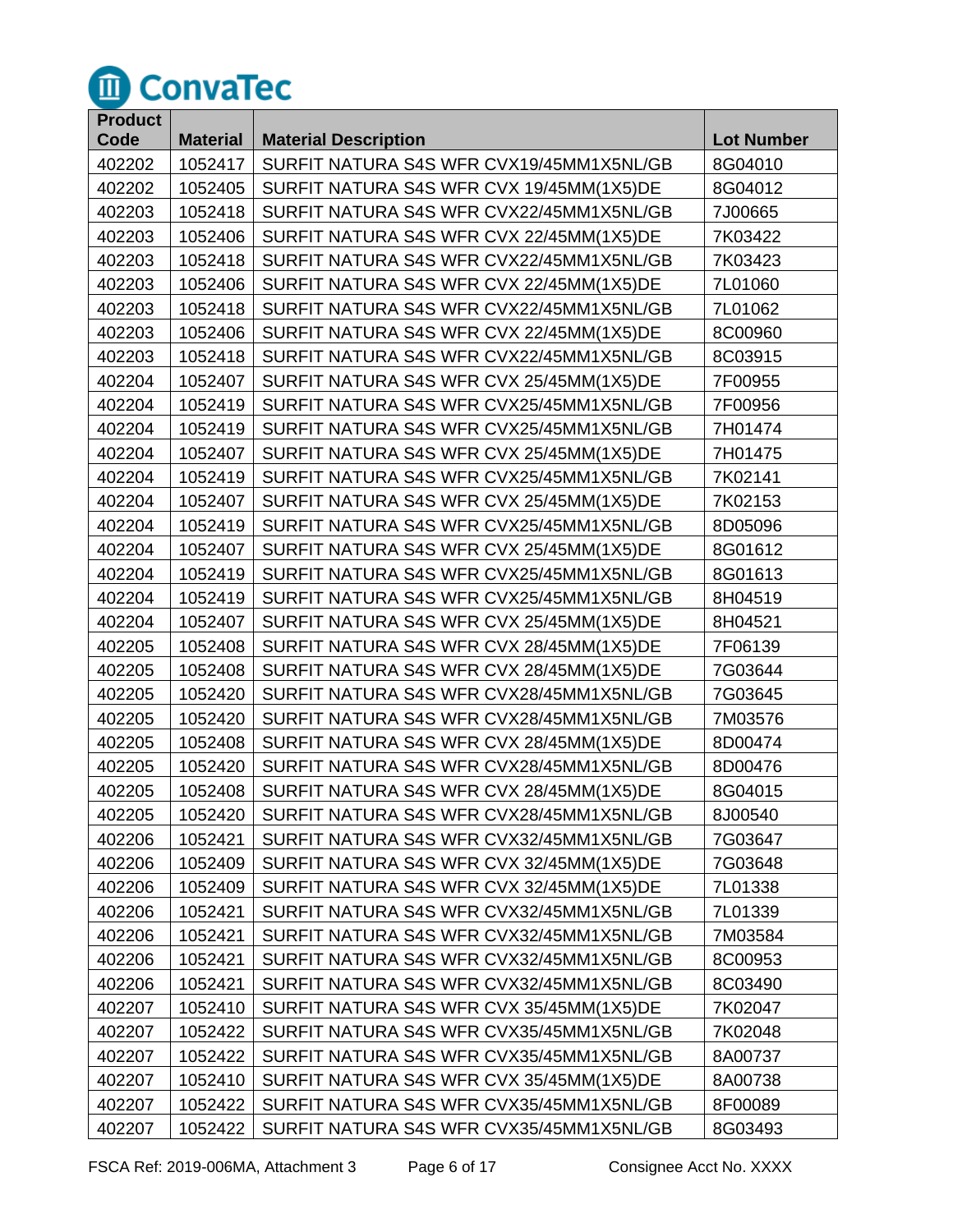

| <b>Product</b> |                 |                                          |                   |
|----------------|-----------------|------------------------------------------|-------------------|
| Code           | <b>Material</b> | <b>Material Description</b>              | <b>Lot Number</b> |
| 402202         | 1052417         | SURFIT NATURA S4S WFR CVX19/45MM1X5NL/GB | 8G04010           |
| 402202         | 1052405         | SURFIT NATURA S4S WFR CVX 19/45MM(1X5)DE | 8G04012           |
| 402203         | 1052418         | SURFIT NATURA S4S WFR CVX22/45MM1X5NL/GB | 7J00665           |
| 402203         | 1052406         | SURFIT NATURA S4S WFR CVX 22/45MM(1X5)DE | 7K03422           |
| 402203         | 1052418         | SURFIT NATURA S4S WFR CVX22/45MM1X5NL/GB | 7K03423           |
| 402203         | 1052406         | SURFIT NATURA S4S WFR CVX 22/45MM(1X5)DE | 7L01060           |
| 402203         | 1052418         | SURFIT NATURA S4S WFR CVX22/45MM1X5NL/GB | 7L01062           |
| 402203         | 1052406         | SURFIT NATURA S4S WFR CVX 22/45MM(1X5)DE | 8C00960           |
| 402203         | 1052418         | SURFIT NATURA S4S WFR CVX22/45MM1X5NL/GB | 8C03915           |
| 402204         | 1052407         | SURFIT NATURA S4S WFR CVX 25/45MM(1X5)DE | 7F00955           |
| 402204         | 1052419         | SURFIT NATURA S4S WFR CVX25/45MM1X5NL/GB | 7F00956           |
| 402204         | 1052419         | SURFIT NATURA S4S WFR CVX25/45MM1X5NL/GB | 7H01474           |
| 402204         | 1052407         | SURFIT NATURA S4S WFR CVX 25/45MM(1X5)DE | 7H01475           |
| 402204         | 1052419         | SURFIT NATURA S4S WFR CVX25/45MM1X5NL/GB | 7K02141           |
| 402204         | 1052407         | SURFIT NATURA S4S WFR CVX 25/45MM(1X5)DE | 7K02153           |
| 402204         | 1052419         | SURFIT NATURA S4S WFR CVX25/45MM1X5NL/GB | 8D05096           |
| 402204         | 1052407         | SURFIT NATURA S4S WFR CVX 25/45MM(1X5)DE | 8G01612           |
| 402204         | 1052419         | SURFIT NATURA S4S WFR CVX25/45MM1X5NL/GB | 8G01613           |
| 402204         | 1052419         | SURFIT NATURA S4S WFR CVX25/45MM1X5NL/GB | 8H04519           |
| 402204         | 1052407         | SURFIT NATURA S4S WFR CVX 25/45MM(1X5)DE | 8H04521           |
| 402205         | 1052408         | SURFIT NATURA S4S WFR CVX 28/45MM(1X5)DE | 7F06139           |
| 402205         | 1052408         | SURFIT NATURA S4S WFR CVX 28/45MM(1X5)DE | 7G03644           |
| 402205         | 1052420         | SURFIT NATURA S4S WFR CVX28/45MM1X5NL/GB | 7G03645           |
| 402205         | 1052420         | SURFIT NATURA S4S WFR CVX28/45MM1X5NL/GB | 7M03576           |
| 402205         | 1052408         | SURFIT NATURA S4S WFR CVX 28/45MM(1X5)DE | 8D00474           |
| 402205         | 1052420         | SURFIT NATURA S4S WFR CVX28/45MM1X5NL/GB | 8D00476           |
| 402205         | 1052408         | SURFIT NATURA S4S WFR CVX 28/45MM(1X5)DE | 8G04015           |
| 402205         | 1052420         | SURFIT NATURA S4S WFR CVX28/45MM1X5NL/GB | 8J00540           |
| 402206         | 1052421         | SURFIT NATURA S4S WFR CVX32/45MM1X5NL/GB | 7G03647           |
| 402206         | 1052409         | SURFIT NATURA S4S WFR CVX 32/45MM(1X5)DE | 7G03648           |
| 402206         | 1052409         | SURFIT NATURA S4S WFR CVX 32/45MM(1X5)DE | 7L01338           |
| 402206         | 1052421         | SURFIT NATURA S4S WFR CVX32/45MM1X5NL/GB | 7L01339           |
| 402206         | 1052421         | SURFIT NATURA S4S WFR CVX32/45MM1X5NL/GB | 7M03584           |
| 402206         | 1052421         | SURFIT NATURA S4S WFR CVX32/45MM1X5NL/GB | 8C00953           |
| 402206         | 1052421         | SURFIT NATURA S4S WFR CVX32/45MM1X5NL/GB | 8C03490           |
| 402207         | 1052410         | SURFIT NATURA S4S WFR CVX 35/45MM(1X5)DE | 7K02047           |
| 402207         | 1052422         | SURFIT NATURA S4S WFR CVX35/45MM1X5NL/GB | 7K02048           |
| 402207         | 1052422         | SURFIT NATURA S4S WFR CVX35/45MM1X5NL/GB | 8A00737           |
| 402207         | 1052410         | SURFIT NATURA S4S WFR CVX 35/45MM(1X5)DE | 8A00738           |
| 402207         | 1052422         | SURFIT NATURA S4S WFR CVX35/45MM1X5NL/GB | 8F00089           |
| 402207         | 1052422         | SURFIT NATURA S4S WFR CVX35/45MM1X5NL/GB | 8G03493           |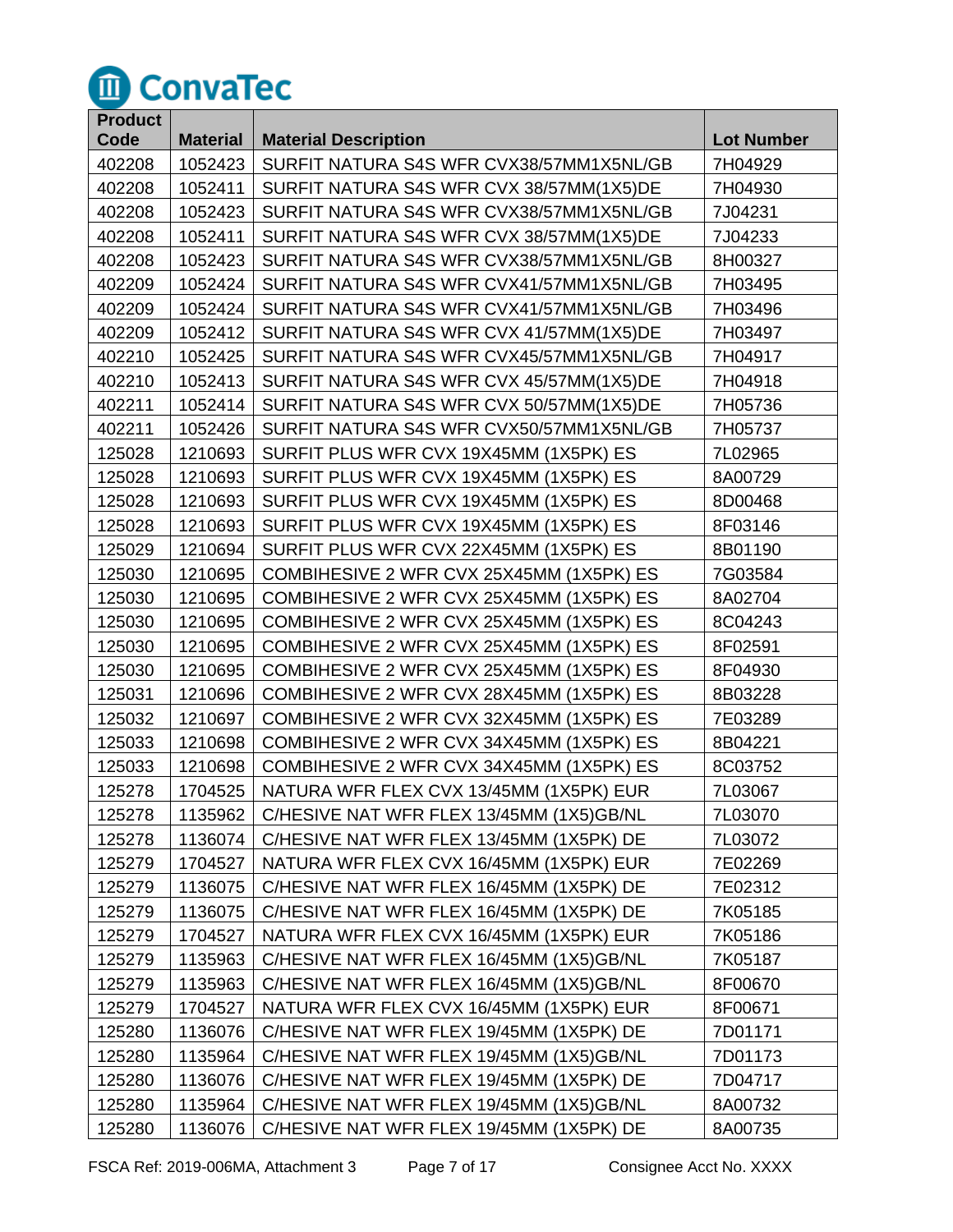

| <b>Product</b> |                 |                                          |                   |
|----------------|-----------------|------------------------------------------|-------------------|
| Code           | <b>Material</b> | <b>Material Description</b>              | <b>Lot Number</b> |
| 402208         | 1052423         | SURFIT NATURA S4S WFR CVX38/57MM1X5NL/GB | 7H04929           |
| 402208         | 1052411         | SURFIT NATURA S4S WFR CVX 38/57MM(1X5)DE | 7H04930           |
| 402208         | 1052423         | SURFIT NATURA S4S WFR CVX38/57MM1X5NL/GB | 7J04231           |
| 402208         | 1052411         | SURFIT NATURA S4S WFR CVX 38/57MM(1X5)DE | 7J04233           |
| 402208         | 1052423         | SURFIT NATURA S4S WFR CVX38/57MM1X5NL/GB | 8H00327           |
| 402209         | 1052424         | SURFIT NATURA S4S WFR CVX41/57MM1X5NL/GB | 7H03495           |
| 402209         | 1052424         | SURFIT NATURA S4S WFR CVX41/57MM1X5NL/GB | 7H03496           |
| 402209         | 1052412         | SURFIT NATURA S4S WFR CVX 41/57MM(1X5)DE | 7H03497           |
| 402210         | 1052425         | SURFIT NATURA S4S WFR CVX45/57MM1X5NL/GB | 7H04917           |
| 402210         | 1052413         | SURFIT NATURA S4S WFR CVX 45/57MM(1X5)DE | 7H04918           |
| 402211         | 1052414         | SURFIT NATURA S4S WFR CVX 50/57MM(1X5)DE | 7H05736           |
| 402211         | 1052426         | SURFIT NATURA S4S WFR CVX50/57MM1X5NL/GB | 7H05737           |
| 125028         | 1210693         | SURFIT PLUS WFR CVX 19X45MM (1X5PK) ES   | 7L02965           |
| 125028         | 1210693         | SURFIT PLUS WFR CVX 19X45MM (1X5PK) ES   | 8A00729           |
| 125028         | 1210693         | SURFIT PLUS WFR CVX 19X45MM (1X5PK) ES   | 8D00468           |
| 125028         | 1210693         | SURFIT PLUS WFR CVX 19X45MM (1X5PK) ES   | 8F03146           |
| 125029         | 1210694         | SURFIT PLUS WFR CVX 22X45MM (1X5PK) ES   | 8B01190           |
| 125030         | 1210695         | COMBIHESIVE 2 WFR CVX 25X45MM (1X5PK) ES | 7G03584           |
| 125030         | 1210695         | COMBIHESIVE 2 WFR CVX 25X45MM (1X5PK) ES | 8A02704           |
| 125030         | 1210695         | COMBIHESIVE 2 WFR CVX 25X45MM (1X5PK) ES | 8C04243           |
| 125030         | 1210695         | COMBIHESIVE 2 WFR CVX 25X45MM (1X5PK) ES | 8F02591           |
| 125030         | 1210695         | COMBIHESIVE 2 WFR CVX 25X45MM (1X5PK) ES | 8F04930           |
| 125031         | 1210696         | COMBIHESIVE 2 WFR CVX 28X45MM (1X5PK) ES | 8B03228           |
| 125032         | 1210697         | COMBIHESIVE 2 WFR CVX 32X45MM (1X5PK) ES | 7E03289           |
| 125033         | 1210698         | COMBIHESIVE 2 WFR CVX 34X45MM (1X5PK) ES | 8B04221           |
| 125033         | 1210698         | COMBIHESIVE 2 WFR CVX 34X45MM (1X5PK) ES | 8C03752           |
| 125278         | 1704525         | NATURA WFR FLEX CVX 13/45MM (1X5PK) EUR  | 7L03067           |
| 125278         | 1135962         | C/HESIVE NAT WFR FLEX 13/45MM (1X5)GB/NL | 7L03070           |
| 125278         | 1136074         | C/HESIVE NAT WFR FLEX 13/45MM (1X5PK) DE | 7L03072           |
| 125279         | 1704527         | NATURA WFR FLEX CVX 16/45MM (1X5PK) EUR  | 7E02269           |
| 125279         | 1136075         | C/HESIVE NAT WFR FLEX 16/45MM (1X5PK) DE | 7E02312           |
| 125279         | 1136075         | C/HESIVE NAT WFR FLEX 16/45MM (1X5PK) DE | 7K05185           |
| 125279         | 1704527         | NATURA WFR FLEX CVX 16/45MM (1X5PK) EUR  | 7K05186           |
| 125279         | 1135963         | C/HESIVE NAT WFR FLEX 16/45MM (1X5)GB/NL | 7K05187           |
| 125279         | 1135963         | C/HESIVE NAT WFR FLEX 16/45MM (1X5)GB/NL | 8F00670           |
| 125279         | 1704527         | NATURA WFR FLEX CVX 16/45MM (1X5PK) EUR  | 8F00671           |
| 125280         | 1136076         | C/HESIVE NAT WFR FLEX 19/45MM (1X5PK) DE | 7D01171           |
| 125280         | 1135964         | C/HESIVE NAT WFR FLEX 19/45MM (1X5)GB/NL | 7D01173           |
| 125280         | 1136076         | C/HESIVE NAT WFR FLEX 19/45MM (1X5PK) DE | 7D04717           |
| 125280         | 1135964         | C/HESIVE NAT WFR FLEX 19/45MM (1X5)GB/NL | 8A00732           |
| 125280         | 1136076         | C/HESIVE NAT WFR FLEX 19/45MM (1X5PK) DE | 8A00735           |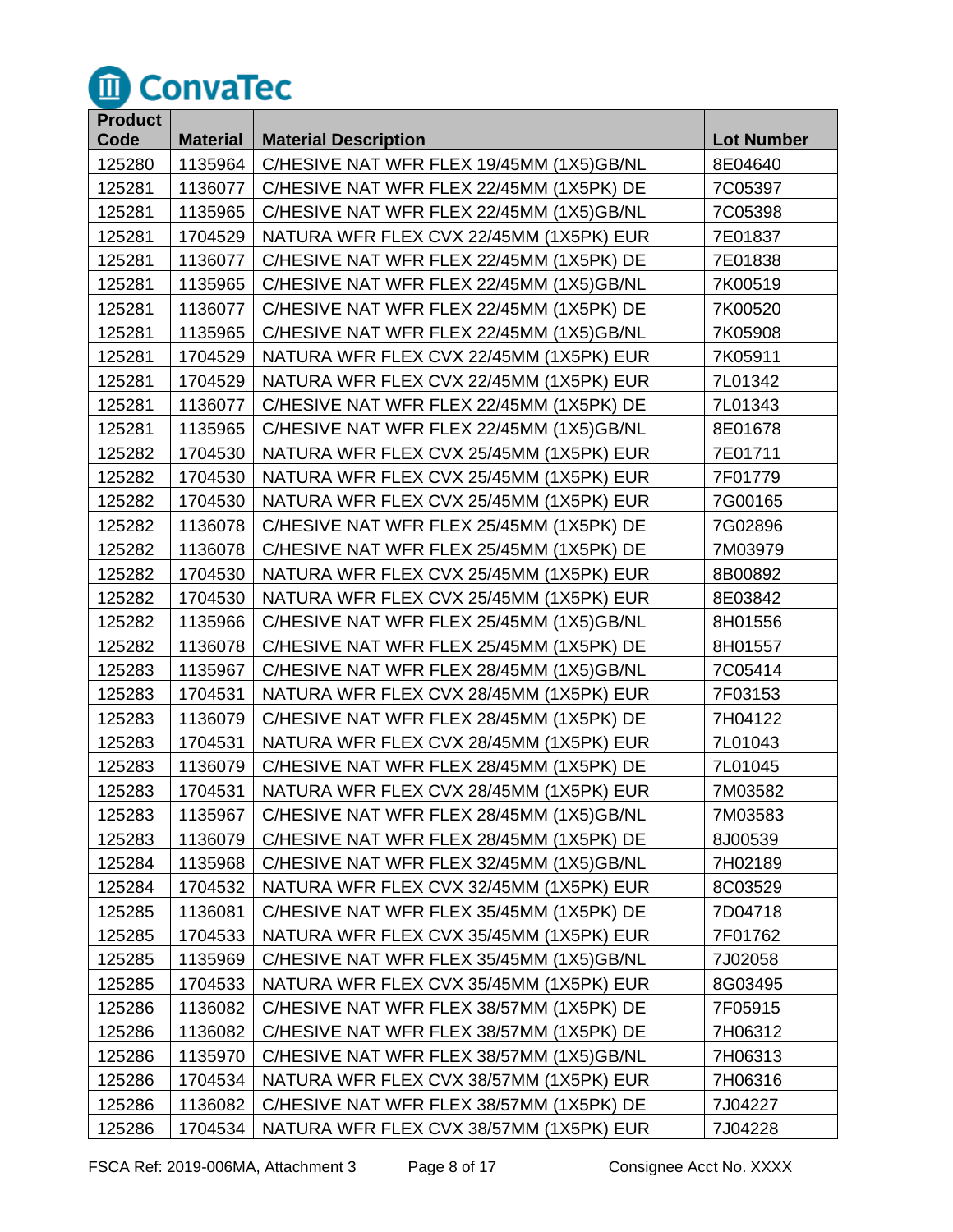

| <b>Product</b> |                 |                                          |                   |
|----------------|-----------------|------------------------------------------|-------------------|
| Code           | <b>Material</b> | <b>Material Description</b>              | <b>Lot Number</b> |
| 125280         | 1135964         | C/HESIVE NAT WFR FLEX 19/45MM (1X5)GB/NL | 8E04640           |
| 125281         | 1136077         | C/HESIVE NAT WFR FLEX 22/45MM (1X5PK) DE | 7C05397           |
| 125281         | 1135965         | C/HESIVE NAT WFR FLEX 22/45MM (1X5)GB/NL | 7C05398           |
| 125281         | 1704529         | NATURA WFR FLEX CVX 22/45MM (1X5PK) EUR  | 7E01837           |
| 125281         | 1136077         | C/HESIVE NAT WFR FLEX 22/45MM (1X5PK) DE | 7E01838           |
| 125281         | 1135965         | C/HESIVE NAT WFR FLEX 22/45MM (1X5)GB/NL | 7K00519           |
| 125281         | 1136077         | C/HESIVE NAT WFR FLEX 22/45MM (1X5PK) DE | 7K00520           |
| 125281         | 1135965         | C/HESIVE NAT WFR FLEX 22/45MM (1X5)GB/NL | 7K05908           |
| 125281         | 1704529         | NATURA WFR FLEX CVX 22/45MM (1X5PK) EUR  | 7K05911           |
| 125281         | 1704529         | NATURA WFR FLEX CVX 22/45MM (1X5PK) EUR  | 7L01342           |
| 125281         | 1136077         | C/HESIVE NAT WFR FLEX 22/45MM (1X5PK) DE | 7L01343           |
| 125281         | 1135965         | C/HESIVE NAT WFR FLEX 22/45MM (1X5)GB/NL | 8E01678           |
| 125282         | 1704530         | NATURA WFR FLEX CVX 25/45MM (1X5PK) EUR  | 7E01711           |
| 125282         | 1704530         | NATURA WFR FLEX CVX 25/45MM (1X5PK) EUR  | 7F01779           |
| 125282         | 1704530         | NATURA WFR FLEX CVX 25/45MM (1X5PK) EUR  | 7G00165           |
| 125282         | 1136078         | C/HESIVE NAT WFR FLEX 25/45MM (1X5PK) DE | 7G02896           |
| 125282         | 1136078         | C/HESIVE NAT WFR FLEX 25/45MM (1X5PK) DE | 7M03979           |
| 125282         | 1704530         | NATURA WFR FLEX CVX 25/45MM (1X5PK) EUR  | 8B00892           |
| 125282         | 1704530         | NATURA WFR FLEX CVX 25/45MM (1X5PK) EUR  | 8E03842           |
| 125282         | 1135966         | C/HESIVE NAT WFR FLEX 25/45MM (1X5)GB/NL | 8H01556           |
| 125282         | 1136078         | C/HESIVE NAT WFR FLEX 25/45MM (1X5PK) DE | 8H01557           |
| 125283         | 1135967         | C/HESIVE NAT WFR FLEX 28/45MM (1X5)GB/NL | 7C05414           |
| 125283         | 1704531         | NATURA WFR FLEX CVX 28/45MM (1X5PK) EUR  | 7F03153           |
| 125283         | 1136079         | C/HESIVE NAT WFR FLEX 28/45MM (1X5PK) DE | 7H04122           |
| 125283         | 1704531         | NATURA WFR FLEX CVX 28/45MM (1X5PK) EUR  | 7L01043           |
| 125283         | 1136079         | C/HESIVE NAT WFR FLEX 28/45MM (1X5PK) DE | 7L01045           |
| 125283         | 1704531         | NATURA WFR FLEX CVX 28/45MM (1X5PK) EUR  | 7M03582           |
| 125283         | 1135967         | C/HESIVE NAT WFR FLEX 28/45MM (1X5)GB/NL | 7M03583           |
| 125283         | 1136079         | C/HESIVE NAT WFR FLEX 28/45MM (1X5PK) DE | 8J00539           |
| 125284         | 1135968         | C/HESIVE NAT WFR FLEX 32/45MM (1X5)GB/NL | 7H02189           |
| 125284         | 1704532         | NATURA WFR FLEX CVX 32/45MM (1X5PK) EUR  | 8C03529           |
| 125285         | 1136081         | C/HESIVE NAT WFR FLEX 35/45MM (1X5PK) DE | 7D04718           |
| 125285         | 1704533         | NATURA WFR FLEX CVX 35/45MM (1X5PK) EUR  | 7F01762           |
| 125285         | 1135969         | C/HESIVE NAT WFR FLEX 35/45MM (1X5)GB/NL | 7J02058           |
| 125285         | 1704533         | NATURA WFR FLEX CVX 35/45MM (1X5PK) EUR  | 8G03495           |
| 125286         | 1136082         | C/HESIVE NAT WFR FLEX 38/57MM (1X5PK) DE | 7F05915           |
| 125286         | 1136082         | C/HESIVE NAT WFR FLEX 38/57MM (1X5PK) DE | 7H06312           |
| 125286         | 1135970         | C/HESIVE NAT WFR FLEX 38/57MM (1X5)GB/NL | 7H06313           |
| 125286         | 1704534         | NATURA WFR FLEX CVX 38/57MM (1X5PK) EUR  | 7H06316           |
| 125286         | 1136082         | C/HESIVE NAT WFR FLEX 38/57MM (1X5PK) DE | 7J04227           |
| 125286         | 1704534         | NATURA WFR FLEX CVX 38/57MM (1X5PK) EUR  | 7J04228           |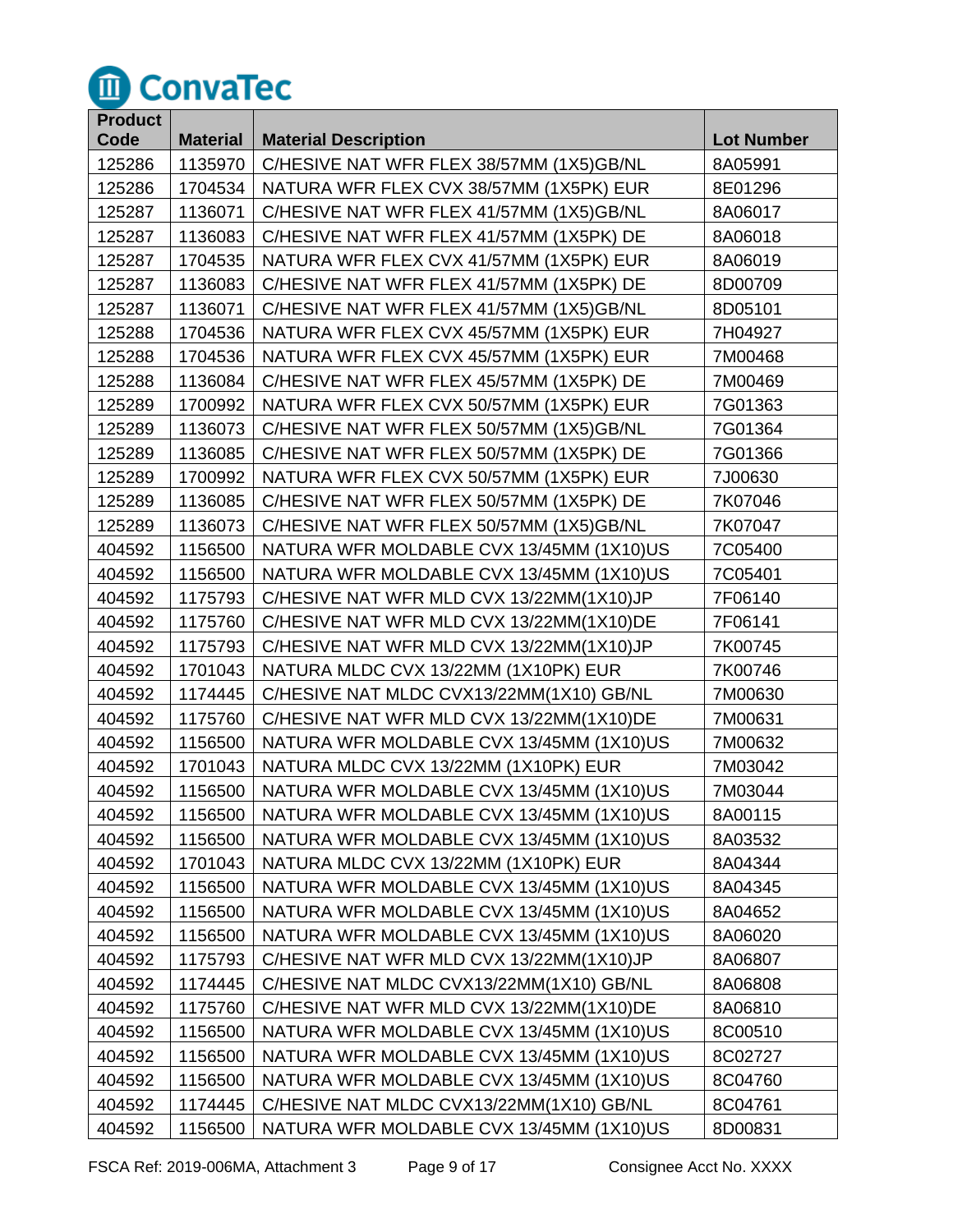

| <b>Product</b> |                 |                                          |                   |
|----------------|-----------------|------------------------------------------|-------------------|
| Code           | <b>Material</b> | <b>Material Description</b>              | <b>Lot Number</b> |
| 125286         | 1135970         | C/HESIVE NAT WFR FLEX 38/57MM (1X5)GB/NL | 8A05991           |
| 125286         | 1704534         | NATURA WFR FLEX CVX 38/57MM (1X5PK) EUR  | 8E01296           |
| 125287         | 1136071         | C/HESIVE NAT WFR FLEX 41/57MM (1X5)GB/NL | 8A06017           |
| 125287         | 1136083         | C/HESIVE NAT WFR FLEX 41/57MM (1X5PK) DE | 8A06018           |
| 125287         | 1704535         | NATURA WFR FLEX CVX 41/57MM (1X5PK) EUR  | 8A06019           |
| 125287         | 1136083         | C/HESIVE NAT WFR FLEX 41/57MM (1X5PK) DE | 8D00709           |
| 125287         | 1136071         | C/HESIVE NAT WFR FLEX 41/57MM (1X5)GB/NL | 8D05101           |
| 125288         | 1704536         | NATURA WFR FLEX CVX 45/57MM (1X5PK) EUR  | 7H04927           |
| 125288         | 1704536         | NATURA WFR FLEX CVX 45/57MM (1X5PK) EUR  | 7M00468           |
| 125288         | 1136084         | C/HESIVE NAT WFR FLEX 45/57MM (1X5PK) DE | 7M00469           |
| 125289         | 1700992         | NATURA WFR FLEX CVX 50/57MM (1X5PK) EUR  | 7G01363           |
| 125289         | 1136073         | C/HESIVE NAT WFR FLEX 50/57MM (1X5)GB/NL | 7G01364           |
| 125289         | 1136085         | C/HESIVE NAT WFR FLEX 50/57MM (1X5PK) DE | 7G01366           |
| 125289         | 1700992         | NATURA WFR FLEX CVX 50/57MM (1X5PK) EUR  | 7J00630           |
| 125289         | 1136085         | C/HESIVE NAT WFR FLEX 50/57MM (1X5PK) DE | 7K07046           |
| 125289         | 1136073         | C/HESIVE NAT WFR FLEX 50/57MM (1X5)GB/NL | 7K07047           |
| 404592         | 1156500         | NATURA WFR MOLDABLE CVX 13/45MM (1X10)US | 7C05400           |
| 404592         | 1156500         | NATURA WFR MOLDABLE CVX 13/45MM (1X10)US | 7C05401           |
| 404592         | 1175793         | C/HESIVE NAT WFR MLD CVX 13/22MM(1X10)JP | 7F06140           |
| 404592         | 1175760         | C/HESIVE NAT WFR MLD CVX 13/22MM(1X10)DE | 7F06141           |
| 404592         | 1175793         | C/HESIVE NAT WFR MLD CVX 13/22MM(1X10)JP | 7K00745           |
| 404592         | 1701043         | NATURA MLDC CVX 13/22MM (1X10PK) EUR     | 7K00746           |
| 404592         | 1174445         | C/HESIVE NAT MLDC CVX13/22MM(1X10) GB/NL | 7M00630           |
| 404592         | 1175760         | C/HESIVE NAT WFR MLD CVX 13/22MM(1X10)DE | 7M00631           |
| 404592         | 1156500         | NATURA WFR MOLDABLE CVX 13/45MM (1X10)US | 7M00632           |
| 404592         | 1701043         | NATURA MLDC CVX 13/22MM (1X10PK) EUR     | 7M03042           |
| 404592         | 1156500         | NATURA WFR MOLDABLE CVX 13/45MM (1X10)US | 7M03044           |
| 404592         | 1156500         | NATURA WFR MOLDABLE CVX 13/45MM (1X10)US | 8A00115           |
| 404592         | 1156500         | NATURA WFR MOLDABLE CVX 13/45MM (1X10)US | 8A03532           |
| 404592         | 1701043         | NATURA MLDC CVX 13/22MM (1X10PK) EUR     | 8A04344           |
| 404592         | 1156500         | NATURA WFR MOLDABLE CVX 13/45MM (1X10)US | 8A04345           |
| 404592         | 1156500         | NATURA WFR MOLDABLE CVX 13/45MM (1X10)US | 8A04652           |
| 404592         | 1156500         | NATURA WFR MOLDABLE CVX 13/45MM (1X10)US | 8A06020           |
| 404592         | 1175793         | C/HESIVE NAT WFR MLD CVX 13/22MM(1X10)JP | 8A06807           |
| 404592         | 1174445         | C/HESIVE NAT MLDC CVX13/22MM(1X10) GB/NL | 8A06808           |
| 404592         | 1175760         | C/HESIVE NAT WFR MLD CVX 13/22MM(1X10)DE | 8A06810           |
| 404592         | 1156500         | NATURA WFR MOLDABLE CVX 13/45MM (1X10)US | 8C00510           |
| 404592         | 1156500         | NATURA WFR MOLDABLE CVX 13/45MM (1X10)US | 8C02727           |
| 404592         | 1156500         | NATURA WFR MOLDABLE CVX 13/45MM (1X10)US | 8C04760           |
| 404592         | 1174445         | C/HESIVE NAT MLDC CVX13/22MM(1X10) GB/NL | 8C04761           |
| 404592         | 1156500         | NATURA WFR MOLDABLE CVX 13/45MM (1X10)US | 8D00831           |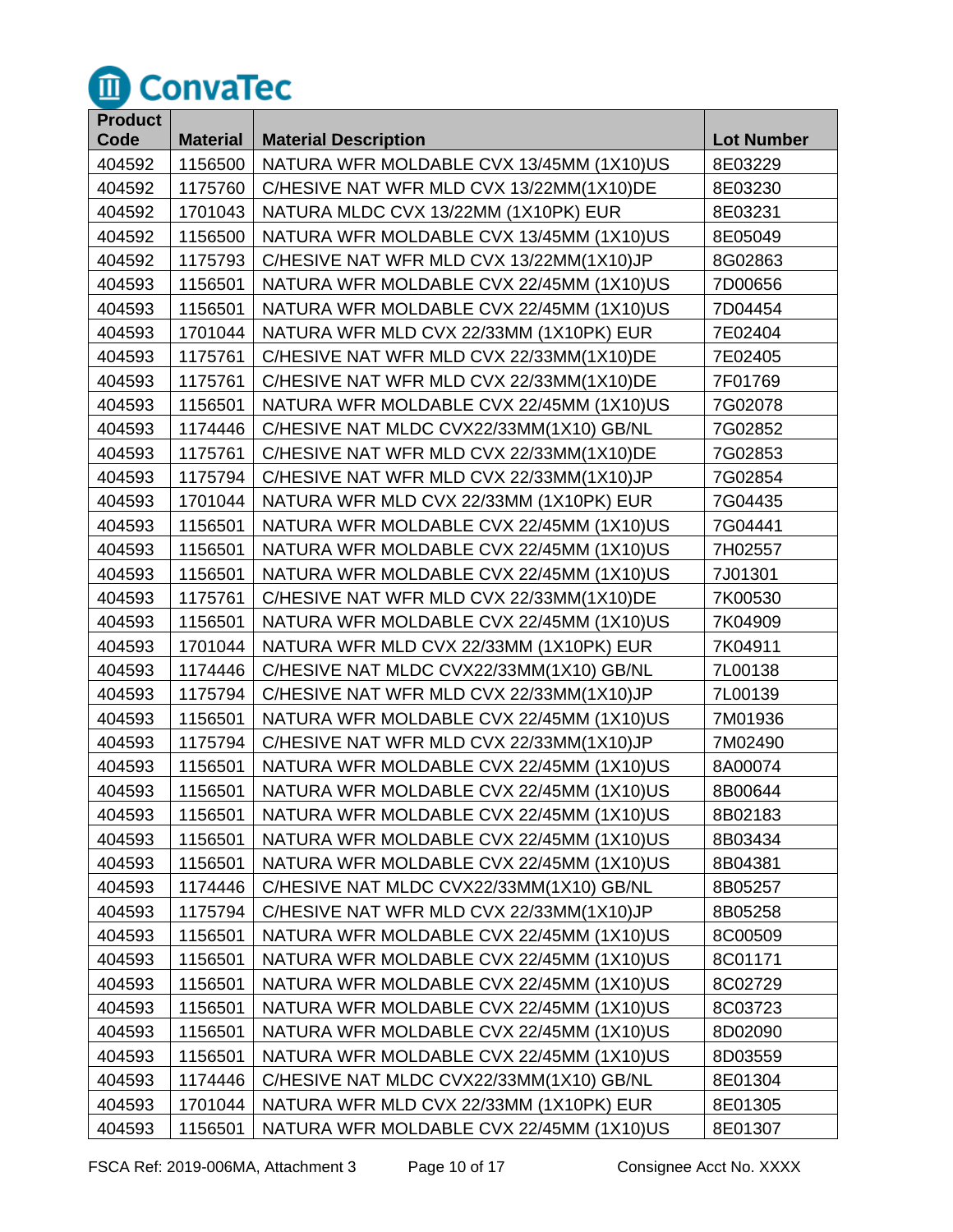

| <b>Product</b> |                 |                                          |                   |
|----------------|-----------------|------------------------------------------|-------------------|
| Code           | <b>Material</b> | <b>Material Description</b>              | <b>Lot Number</b> |
| 404592         | 1156500         | NATURA WFR MOLDABLE CVX 13/45MM (1X10)US | 8E03229           |
| 404592         | 1175760         | C/HESIVE NAT WFR MLD CVX 13/22MM(1X10)DE | 8E03230           |
| 404592         | 1701043         | NATURA MLDC CVX 13/22MM (1X10PK) EUR     | 8E03231           |
| 404592         | 1156500         | NATURA WFR MOLDABLE CVX 13/45MM (1X10)US | 8E05049           |
| 404592         | 1175793         | C/HESIVE NAT WFR MLD CVX 13/22MM(1X10)JP | 8G02863           |
| 404593         | 1156501         | NATURA WFR MOLDABLE CVX 22/45MM (1X10)US | 7D00656           |
| 404593         | 1156501         | NATURA WFR MOLDABLE CVX 22/45MM (1X10)US | 7D04454           |
| 404593         | 1701044         | NATURA WFR MLD CVX 22/33MM (1X10PK) EUR  | 7E02404           |
| 404593         | 1175761         | C/HESIVE NAT WFR MLD CVX 22/33MM(1X10)DE | 7E02405           |
| 404593         | 1175761         | C/HESIVE NAT WFR MLD CVX 22/33MM(1X10)DE | 7F01769           |
| 404593         | 1156501         | NATURA WFR MOLDABLE CVX 22/45MM (1X10)US | 7G02078           |
| 404593         | 1174446         | C/HESIVE NAT MLDC CVX22/33MM(1X10) GB/NL | 7G02852           |
| 404593         | 1175761         | C/HESIVE NAT WFR MLD CVX 22/33MM(1X10)DE | 7G02853           |
| 404593         | 1175794         | C/HESIVE NAT WFR MLD CVX 22/33MM(1X10)JP | 7G02854           |
| 404593         | 1701044         | NATURA WFR MLD CVX 22/33MM (1X10PK) EUR  | 7G04435           |
| 404593         | 1156501         | NATURA WFR MOLDABLE CVX 22/45MM (1X10)US | 7G04441           |
| 404593         | 1156501         | NATURA WFR MOLDABLE CVX 22/45MM (1X10)US | 7H02557           |
| 404593         | 1156501         | NATURA WFR MOLDABLE CVX 22/45MM (1X10)US | 7J01301           |
| 404593         | 1175761         | C/HESIVE NAT WFR MLD CVX 22/33MM(1X10)DE | 7K00530           |
| 404593         | 1156501         | NATURA WFR MOLDABLE CVX 22/45MM (1X10)US | 7K04909           |
| 404593         | 1701044         | NATURA WFR MLD CVX 22/33MM (1X10PK) EUR  | 7K04911           |
| 404593         | 1174446         | C/HESIVE NAT MLDC CVX22/33MM(1X10) GB/NL | 7L00138           |
| 404593         | 1175794         | C/HESIVE NAT WFR MLD CVX 22/33MM(1X10)JP | 7L00139           |
| 404593         | 1156501         | NATURA WFR MOLDABLE CVX 22/45MM (1X10)US | 7M01936           |
| 404593         | 1175794         | C/HESIVE NAT WFR MLD CVX 22/33MM(1X10)JP | 7M02490           |
| 404593         | 1156501         | NATURA WFR MOLDABLE CVX 22/45MM (1X10)US | 8A00074           |
| 404593         | 1156501         | NATURA WFR MOLDABLE CVX 22/45MM (1X10)US | 8B00644           |
| 404593         | 1156501         | NATURA WFR MOLDABLE CVX 22/45MM (1X10)US | 8B02183           |
| 404593         | 1156501         | NATURA WFR MOLDABLE CVX 22/45MM (1X10)US | 8B03434           |
| 404593         | 1156501         | NATURA WFR MOLDABLE CVX 22/45MM (1X10)US | 8B04381           |
| 404593         | 1174446         | C/HESIVE NAT MLDC CVX22/33MM(1X10) GB/NL | 8B05257           |
| 404593         | 1175794         | C/HESIVE NAT WFR MLD CVX 22/33MM(1X10)JP | 8B05258           |
| 404593         | 1156501         | NATURA WFR MOLDABLE CVX 22/45MM (1X10)US | 8C00509           |
| 404593         | 1156501         | NATURA WFR MOLDABLE CVX 22/45MM (1X10)US | 8C01171           |
| 404593         | 1156501         | NATURA WFR MOLDABLE CVX 22/45MM (1X10)US | 8C02729           |
| 404593         | 1156501         | NATURA WFR MOLDABLE CVX 22/45MM (1X10)US | 8C03723           |
| 404593         | 1156501         | NATURA WFR MOLDABLE CVX 22/45MM (1X10)US | 8D02090           |
| 404593         | 1156501         | NATURA WFR MOLDABLE CVX 22/45MM (1X10)US | 8D03559           |
| 404593         | 1174446         | C/HESIVE NAT MLDC CVX22/33MM(1X10) GB/NL | 8E01304           |
| 404593         | 1701044         | NATURA WFR MLD CVX 22/33MM (1X10PK) EUR  | 8E01305           |
| 404593         | 1156501         | NATURA WFR MOLDABLE CVX 22/45MM (1X10)US | 8E01307           |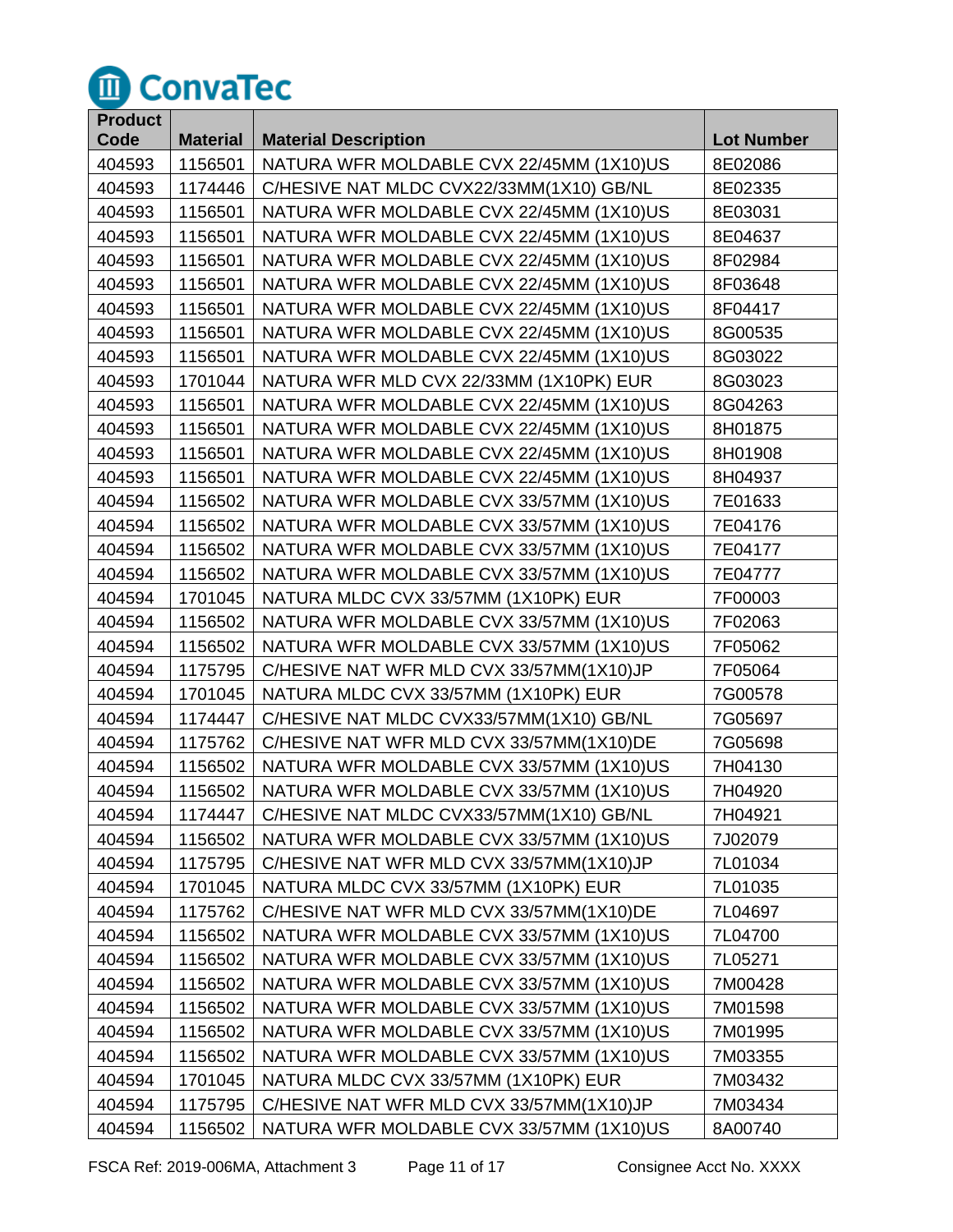

| <b>Product</b> |                 |                                          |                   |
|----------------|-----------------|------------------------------------------|-------------------|
| Code           | <b>Material</b> | <b>Material Description</b>              | <b>Lot Number</b> |
| 404593         | 1156501         | NATURA WFR MOLDABLE CVX 22/45MM (1X10)US | 8E02086           |
| 404593         | 1174446         | C/HESIVE NAT MLDC CVX22/33MM(1X10) GB/NL | 8E02335           |
| 404593         | 1156501         | NATURA WFR MOLDABLE CVX 22/45MM (1X10)US | 8E03031           |
| 404593         | 1156501         | NATURA WFR MOLDABLE CVX 22/45MM (1X10)US | 8E04637           |
| 404593         | 1156501         | NATURA WFR MOLDABLE CVX 22/45MM (1X10)US | 8F02984           |
| 404593         | 1156501         | NATURA WFR MOLDABLE CVX 22/45MM (1X10)US | 8F03648           |
| 404593         | 1156501         | NATURA WFR MOLDABLE CVX 22/45MM (1X10)US | 8F04417           |
| 404593         | 1156501         | NATURA WFR MOLDABLE CVX 22/45MM (1X10)US | 8G00535           |
| 404593         | 1156501         | NATURA WFR MOLDABLE CVX 22/45MM (1X10)US | 8G03022           |
| 404593         | 1701044         | NATURA WFR MLD CVX 22/33MM (1X10PK) EUR  | 8G03023           |
| 404593         | 1156501         | NATURA WFR MOLDABLE CVX 22/45MM (1X10)US | 8G04263           |
| 404593         | 1156501         | NATURA WFR MOLDABLE CVX 22/45MM (1X10)US | 8H01875           |
| 404593         | 1156501         | NATURA WFR MOLDABLE CVX 22/45MM (1X10)US | 8H01908           |
| 404593         | 1156501         | NATURA WFR MOLDABLE CVX 22/45MM (1X10)US | 8H04937           |
| 404594         | 1156502         | NATURA WFR MOLDABLE CVX 33/57MM (1X10)US | 7E01633           |
| 404594         | 1156502         | NATURA WFR MOLDABLE CVX 33/57MM (1X10)US | 7E04176           |
| 404594         | 1156502         | NATURA WFR MOLDABLE CVX 33/57MM (1X10)US | 7E04177           |
| 404594         | 1156502         | NATURA WFR MOLDABLE CVX 33/57MM (1X10)US | 7E04777           |
| 404594         | 1701045         | NATURA MLDC CVX 33/57MM (1X10PK) EUR     | 7F00003           |
| 404594         | 1156502         | NATURA WFR MOLDABLE CVX 33/57MM (1X10)US | 7F02063           |
| 404594         | 1156502         | NATURA WFR MOLDABLE CVX 33/57MM (1X10)US | 7F05062           |
| 404594         | 1175795         | C/HESIVE NAT WFR MLD CVX 33/57MM(1X10)JP | 7F05064           |
| 404594         | 1701045         | NATURA MLDC CVX 33/57MM (1X10PK) EUR     | 7G00578           |
| 404594         | 1174447         | C/HESIVE NAT MLDC CVX33/57MM(1X10) GB/NL | 7G05697           |
| 404594         | 1175762         | C/HESIVE NAT WFR MLD CVX 33/57MM(1X10)DE | 7G05698           |
| 404594         | 1156502         | NATURA WFR MOLDABLE CVX 33/57MM (1X10)US | 7H04130           |
| 404594         | 1156502         | NATURA WFR MOLDABLE CVX 33/57MM (1X10)US | 7H04920           |
| 404594         | 1174447         | C/HESIVE NAT MLDC CVX33/57MM(1X10) GB/NL | 7H04921           |
| 404594         | 1156502         | NATURA WFR MOLDABLE CVX 33/57MM (1X10)US | 7J02079           |
| 404594         | 1175795         | C/HESIVE NAT WFR MLD CVX 33/57MM(1X10)JP | 7L01034           |
| 404594         | 1701045         | NATURA MLDC CVX 33/57MM (1X10PK) EUR     | 7L01035           |
| 404594         | 1175762         | C/HESIVE NAT WFR MLD CVX 33/57MM(1X10)DE | 7L04697           |
| 404594         | 1156502         | NATURA WFR MOLDABLE CVX 33/57MM (1X10)US | 7L04700           |
| 404594         | 1156502         | NATURA WFR MOLDABLE CVX 33/57MM (1X10)US | 7L05271           |
| 404594         | 1156502         | NATURA WFR MOLDABLE CVX 33/57MM (1X10)US | 7M00428           |
| 404594         | 1156502         | NATURA WFR MOLDABLE CVX 33/57MM (1X10)US | 7M01598           |
| 404594         | 1156502         | NATURA WFR MOLDABLE CVX 33/57MM (1X10)US | 7M01995           |
| 404594         | 1156502         | NATURA WFR MOLDABLE CVX 33/57MM (1X10)US | 7M03355           |
| 404594         | 1701045         | NATURA MLDC CVX 33/57MM (1X10PK) EUR     | 7M03432           |
| 404594         | 1175795         | C/HESIVE NAT WFR MLD CVX 33/57MM(1X10)JP | 7M03434           |
| 404594         | 1156502         | NATURA WFR MOLDABLE CVX 33/57MM (1X10)US | 8A00740           |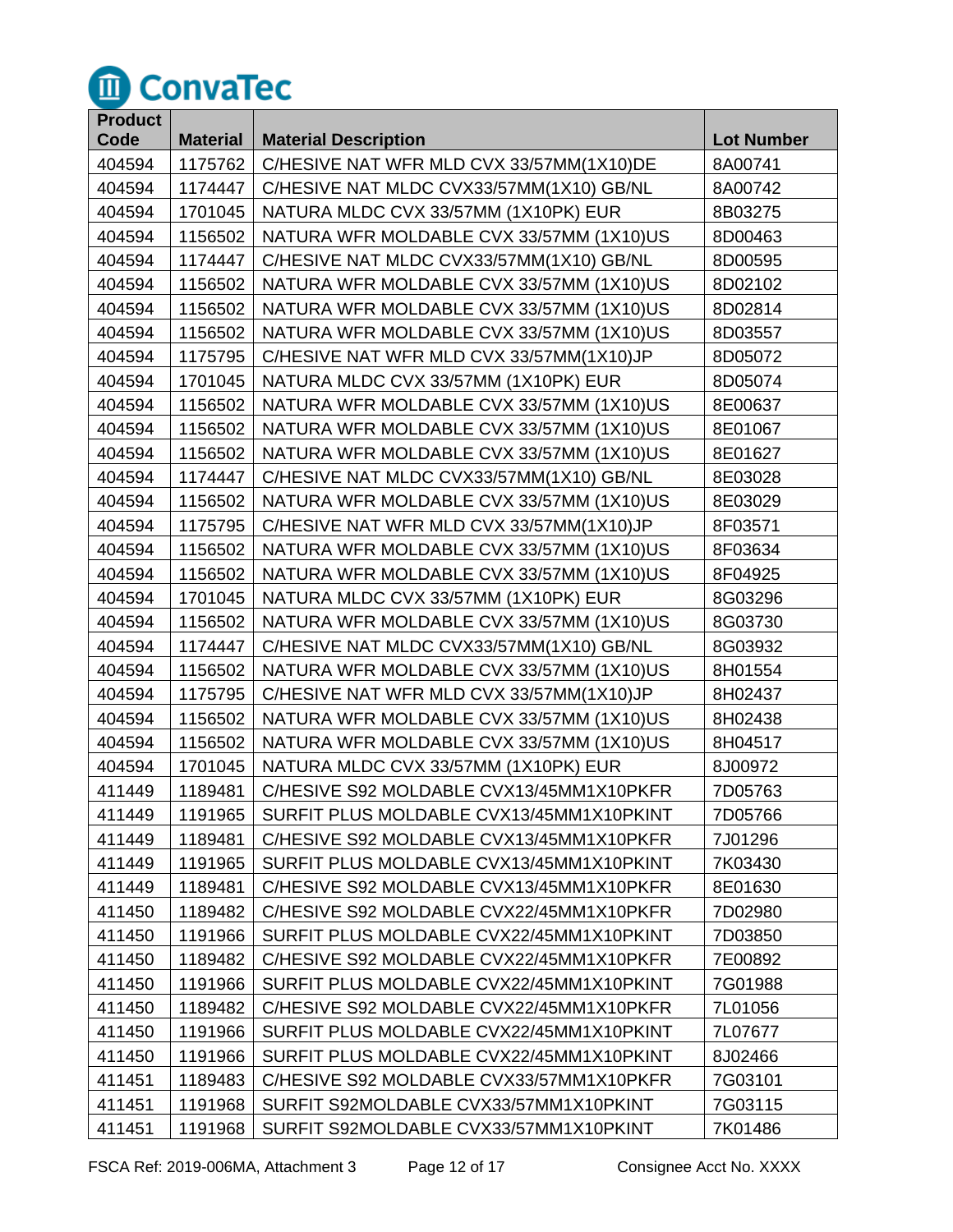

| <b>Product</b> |                 |                                          |                   |
|----------------|-----------------|------------------------------------------|-------------------|
| Code           | <b>Material</b> | <b>Material Description</b>              | <b>Lot Number</b> |
| 404594         | 1175762         | C/HESIVE NAT WFR MLD CVX 33/57MM(1X10)DE | 8A00741           |
| 404594         | 1174447         | C/HESIVE NAT MLDC CVX33/57MM(1X10) GB/NL | 8A00742           |
| 404594         | 1701045         | NATURA MLDC CVX 33/57MM (1X10PK) EUR     | 8B03275           |
| 404594         | 1156502         | NATURA WFR MOLDABLE CVX 33/57MM (1X10)US | 8D00463           |
| 404594         | 1174447         | C/HESIVE NAT MLDC CVX33/57MM(1X10) GB/NL | 8D00595           |
| 404594         | 1156502         | NATURA WFR MOLDABLE CVX 33/57MM (1X10)US | 8D02102           |
| 404594         | 1156502         | NATURA WFR MOLDABLE CVX 33/57MM (1X10)US | 8D02814           |
| 404594         | 1156502         | NATURA WFR MOLDABLE CVX 33/57MM (1X10)US | 8D03557           |
| 404594         | 1175795         | C/HESIVE NAT WFR MLD CVX 33/57MM(1X10)JP | 8D05072           |
| 404594         | 1701045         | NATURA MLDC CVX 33/57MM (1X10PK) EUR     | 8D05074           |
| 404594         | 1156502         | NATURA WFR MOLDABLE CVX 33/57MM (1X10)US | 8E00637           |
| 404594         | 1156502         | NATURA WFR MOLDABLE CVX 33/57MM (1X10)US | 8E01067           |
| 404594         | 1156502         | NATURA WFR MOLDABLE CVX 33/57MM (1X10)US | 8E01627           |
| 404594         | 1174447         | C/HESIVE NAT MLDC CVX33/57MM(1X10) GB/NL | 8E03028           |
| 404594         | 1156502         | NATURA WFR MOLDABLE CVX 33/57MM (1X10)US | 8E03029           |
| 404594         | 1175795         | C/HESIVE NAT WFR MLD CVX 33/57MM(1X10)JP | 8F03571           |
| 404594         | 1156502         | NATURA WFR MOLDABLE CVX 33/57MM (1X10)US | 8F03634           |
| 404594         | 1156502         | NATURA WFR MOLDABLE CVX 33/57MM (1X10)US | 8F04925           |
| 404594         | 1701045         | NATURA MLDC CVX 33/57MM (1X10PK) EUR     | 8G03296           |
| 404594         | 1156502         | NATURA WFR MOLDABLE CVX 33/57MM (1X10)US | 8G03730           |
| 404594         | 1174447         | C/HESIVE NAT MLDC CVX33/57MM(1X10) GB/NL | 8G03932           |
| 404594         | 1156502         | NATURA WFR MOLDABLE CVX 33/57MM (1X10)US | 8H01554           |
| 404594         | 1175795         | C/HESIVE NAT WFR MLD CVX 33/57MM(1X10)JP | 8H02437           |
| 404594         | 1156502         | NATURA WFR MOLDABLE CVX 33/57MM (1X10)US | 8H02438           |
| 404594         | 1156502         | NATURA WFR MOLDABLE CVX 33/57MM (1X10)US | 8H04517           |
| 404594         | 1701045         | NATURA MLDC CVX 33/57MM (1X10PK) EUR     | 8J00972           |
| 411449         | 1189481         | C/HESIVE S92 MOLDABLE CVX13/45MM1X10PKFR | 7D05763           |
| 411449         | 1191965         | SURFIT PLUS MOLDABLE CVX13/45MM1X10PKINT | 7D05766           |
| 411449         | 1189481         | C/HESIVE S92 MOLDABLE CVX13/45MM1X10PKFR | 7J01296           |
| 411449         | 1191965         | SURFIT PLUS MOLDABLE CVX13/45MM1X10PKINT | 7K03430           |
| 411449         | 1189481         | C/HESIVE S92 MOLDABLE CVX13/45MM1X10PKFR | 8E01630           |
| 411450         | 1189482         | C/HESIVE S92 MOLDABLE CVX22/45MM1X10PKFR | 7D02980           |
| 411450         | 1191966         | SURFIT PLUS MOLDABLE CVX22/45MM1X10PKINT | 7D03850           |
| 411450         | 1189482         | C/HESIVE S92 MOLDABLE CVX22/45MM1X10PKFR | 7E00892           |
| 411450         | 1191966         | SURFIT PLUS MOLDABLE CVX22/45MM1X10PKINT | 7G01988           |
| 411450         | 1189482         | C/HESIVE S92 MOLDABLE CVX22/45MM1X10PKFR | 7L01056           |
| 411450         | 1191966         | SURFIT PLUS MOLDABLE CVX22/45MM1X10PKINT | 7L07677           |
| 411450         | 1191966         | SURFIT PLUS MOLDABLE CVX22/45MM1X10PKINT | 8J02466           |
| 411451         | 1189483         | C/HESIVE S92 MOLDABLE CVX33/57MM1X10PKFR | 7G03101           |
| 411451         | 1191968         | SURFIT S92MOLDABLE CVX33/57MM1X10PKINT   | 7G03115           |
| 411451         | 1191968         | SURFIT S92MOLDABLE CVX33/57MM1X10PKINT   | 7K01486           |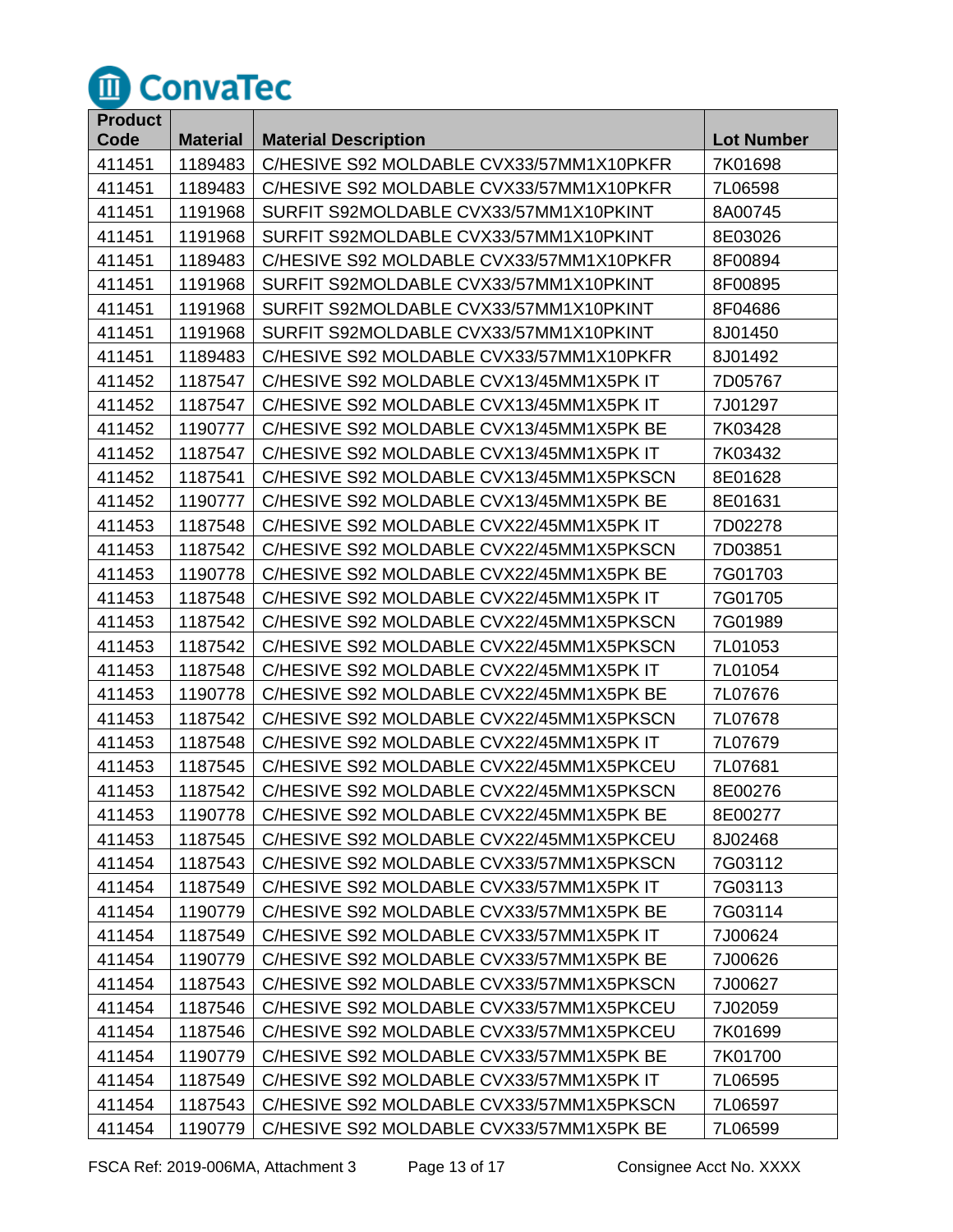

| <b>Product</b> |                 |                                          |                   |
|----------------|-----------------|------------------------------------------|-------------------|
| Code           | <b>Material</b> | <b>Material Description</b>              | <b>Lot Number</b> |
| 411451         | 1189483         | C/HESIVE S92 MOLDABLE CVX33/57MM1X10PKFR | 7K01698           |
| 411451         | 1189483         | C/HESIVE S92 MOLDABLE CVX33/57MM1X10PKFR | 7L06598           |
| 411451         | 1191968         | SURFIT S92MOLDABLE CVX33/57MM1X10PKINT   | 8A00745           |
| 411451         | 1191968         | SURFIT S92MOLDABLE CVX33/57MM1X10PKINT   | 8E03026           |
| 411451         | 1189483         | C/HESIVE S92 MOLDABLE CVX33/57MM1X10PKFR | 8F00894           |
| 411451         | 1191968         | SURFIT S92MOLDABLE CVX33/57MM1X10PKINT   | 8F00895           |
| 411451         | 1191968         | SURFIT S92MOLDABLE CVX33/57MM1X10PKINT   | 8F04686           |
| 411451         | 1191968         | SURFIT S92MOLDABLE CVX33/57MM1X10PKINT   | 8J01450           |
| 411451         | 1189483         | C/HESIVE S92 MOLDABLE CVX33/57MM1X10PKFR | 8J01492           |
| 411452         | 1187547         | C/HESIVE S92 MOLDABLE CVX13/45MM1X5PK IT | 7D05767           |
| 411452         | 1187547         | C/HESIVE S92 MOLDABLE CVX13/45MM1X5PK IT | 7J01297           |
| 411452         | 1190777         | C/HESIVE S92 MOLDABLE CVX13/45MM1X5PK BE | 7K03428           |
| 411452         | 1187547         | C/HESIVE S92 MOLDABLE CVX13/45MM1X5PK IT | 7K03432           |
| 411452         | 1187541         | C/HESIVE S92 MOLDABLE CVX13/45MM1X5PKSCN | 8E01628           |
| 411452         | 1190777         | C/HESIVE S92 MOLDABLE CVX13/45MM1X5PK BE | 8E01631           |
| 411453         | 1187548         | C/HESIVE S92 MOLDABLE CVX22/45MM1X5PK IT | 7D02278           |
| 411453         | 1187542         | C/HESIVE S92 MOLDABLE CVX22/45MM1X5PKSCN | 7D03851           |
| 411453         | 1190778         | C/HESIVE S92 MOLDABLE CVX22/45MM1X5PK BE | 7G01703           |
| 411453         | 1187548         | C/HESIVE S92 MOLDABLE CVX22/45MM1X5PK IT | 7G01705           |
| 411453         | 1187542         | C/HESIVE S92 MOLDABLE CVX22/45MM1X5PKSCN | 7G01989           |
| 411453         | 1187542         | C/HESIVE S92 MOLDABLE CVX22/45MM1X5PKSCN | 7L01053           |
| 411453         | 1187548         | C/HESIVE S92 MOLDABLE CVX22/45MM1X5PK IT | 7L01054           |
| 411453         | 1190778         | C/HESIVE S92 MOLDABLE CVX22/45MM1X5PK BE | 7L07676           |
| 411453         | 1187542         | C/HESIVE S92 MOLDABLE CVX22/45MM1X5PKSCN | 7L07678           |
| 411453         | 1187548         | C/HESIVE S92 MOLDABLE CVX22/45MM1X5PK IT | 7L07679           |
| 411453         | 1187545         | C/HESIVE S92 MOLDABLE CVX22/45MM1X5PKCEU | 7L07681           |
| 411453         | 1187542         | C/HESIVE S92 MOLDABLE CVX22/45MM1X5PKSCN | 8E00276           |
| 411453         | 1190778         | C/HESIVE S92 MOLDABLE CVX22/45MM1X5PK BE | 8E00277           |
| 411453         | 1187545         | C/HESIVE S92 MOLDABLE CVX22/45MM1X5PKCEU | 8J02468           |
| 411454         | 1187543         | C/HESIVE S92 MOLDABLE CVX33/57MM1X5PKSCN | 7G03112           |
| 411454         | 1187549         | C/HESIVE S92 MOLDABLE CVX33/57MM1X5PK IT | 7G03113           |
| 411454         | 1190779         | C/HESIVE S92 MOLDABLE CVX33/57MM1X5PK BE | 7G03114           |
| 411454         | 1187549         | C/HESIVE S92 MOLDABLE CVX33/57MM1X5PK IT | 7J00624           |
| 411454         | 1190779         | C/HESIVE S92 MOLDABLE CVX33/57MM1X5PK BE | 7J00626           |
| 411454         | 1187543         | C/HESIVE S92 MOLDABLE CVX33/57MM1X5PKSCN | 7J00627           |
| 411454         | 1187546         | C/HESIVE S92 MOLDABLE CVX33/57MM1X5PKCEU | 7J02059           |
| 411454         | 1187546         | C/HESIVE S92 MOLDABLE CVX33/57MM1X5PKCEU | 7K01699           |
| 411454         | 1190779         | C/HESIVE S92 MOLDABLE CVX33/57MM1X5PK BE | 7K01700           |
| 411454         | 1187549         | C/HESIVE S92 MOLDABLE CVX33/57MM1X5PK IT | 7L06595           |
| 411454         | 1187543         | C/HESIVE S92 MOLDABLE CVX33/57MM1X5PKSCN | 7L06597           |
| 411454         | 1190779         | C/HESIVE S92 MOLDABLE CVX33/57MM1X5PK BE | 7L06599           |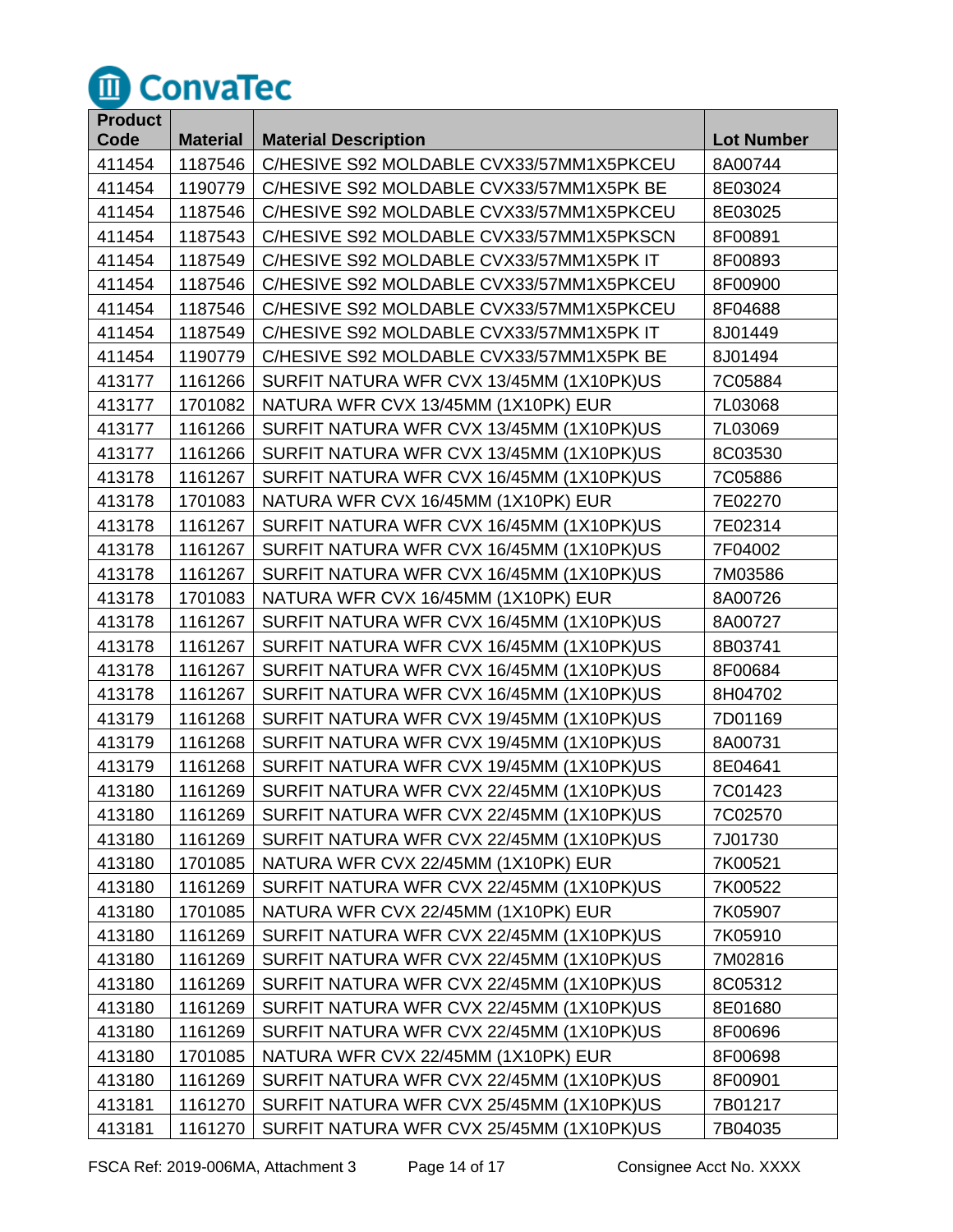

| <b>Product</b> |                 |                                          |                   |
|----------------|-----------------|------------------------------------------|-------------------|
| Code           | <b>Material</b> | <b>Material Description</b>              | <b>Lot Number</b> |
| 411454         | 1187546         | C/HESIVE S92 MOLDABLE CVX33/57MM1X5PKCEU | 8A00744           |
| 411454         | 1190779         | C/HESIVE S92 MOLDABLE CVX33/57MM1X5PK BE | 8E03024           |
| 411454         | 1187546         | C/HESIVE S92 MOLDABLE CVX33/57MM1X5PKCEU | 8E03025           |
| 411454         | 1187543         | C/HESIVE S92 MOLDABLE CVX33/57MM1X5PKSCN | 8F00891           |
| 411454         | 1187549         | C/HESIVE S92 MOLDABLE CVX33/57MM1X5PK IT | 8F00893           |
| 411454         | 1187546         | C/HESIVE S92 MOLDABLE CVX33/57MM1X5PKCEU | 8F00900           |
| 411454         | 1187546         | C/HESIVE S92 MOLDABLE CVX33/57MM1X5PKCEU | 8F04688           |
| 411454         | 1187549         | C/HESIVE S92 MOLDABLE CVX33/57MM1X5PK IT | 8J01449           |
| 411454         | 1190779         | C/HESIVE S92 MOLDABLE CVX33/57MM1X5PK BE | 8J01494           |
| 413177         | 1161266         | SURFIT NATURA WFR CVX 13/45MM (1X10PK)US | 7C05884           |
| 413177         | 1701082         | NATURA WFR CVX 13/45MM (1X10PK) EUR      | 7L03068           |
| 413177         | 1161266         | SURFIT NATURA WFR CVX 13/45MM (1X10PK)US | 7L03069           |
| 413177         | 1161266         | SURFIT NATURA WFR CVX 13/45MM (1X10PK)US | 8C03530           |
| 413178         | 1161267         | SURFIT NATURA WFR CVX 16/45MM (1X10PK)US | 7C05886           |
| 413178         | 1701083         | NATURA WFR CVX 16/45MM (1X10PK) EUR      | 7E02270           |
| 413178         | 1161267         | SURFIT NATURA WFR CVX 16/45MM (1X10PK)US | 7E02314           |
| 413178         | 1161267         | SURFIT NATURA WFR CVX 16/45MM (1X10PK)US | 7F04002           |
| 413178         | 1161267         | SURFIT NATURA WFR CVX 16/45MM (1X10PK)US | 7M03586           |
| 413178         | 1701083         | NATURA WFR CVX 16/45MM (1X10PK) EUR      | 8A00726           |
| 413178         | 1161267         | SURFIT NATURA WFR CVX 16/45MM (1X10PK)US | 8A00727           |
| 413178         | 1161267         | SURFIT NATURA WFR CVX 16/45MM (1X10PK)US | 8B03741           |
| 413178         | 1161267         | SURFIT NATURA WFR CVX 16/45MM (1X10PK)US | 8F00684           |
| 413178         | 1161267         | SURFIT NATURA WFR CVX 16/45MM (1X10PK)US | 8H04702           |
| 413179         | 1161268         | SURFIT NATURA WFR CVX 19/45MM (1X10PK)US | 7D01169           |
| 413179         | 1161268         | SURFIT NATURA WFR CVX 19/45MM (1X10PK)US | 8A00731           |
| 413179         | 1161268         | SURFIT NATURA WFR CVX 19/45MM (1X10PK)US | 8E04641           |
| 413180         | 1161269         | SURFIT NATURA WFR CVX 22/45MM (1X10PK)US | 7C01423           |
| 413180         | 1161269         | SURFIT NATURA WFR CVX 22/45MM (1X10PK)US | 7C02570           |
| 413180         | 1161269         | SURFIT NATURA WFR CVX 22/45MM (1X10PK)US | 7J01730           |
| 413180         | 1701085         | NATURA WFR CVX 22/45MM (1X10PK) EUR      | 7K00521           |
| 413180         | 1161269         | SURFIT NATURA WFR CVX 22/45MM (1X10PK)US | 7K00522           |
| 413180         | 1701085         | NATURA WFR CVX 22/45MM (1X10PK) EUR      | 7K05907           |
| 413180         | 1161269         | SURFIT NATURA WFR CVX 22/45MM (1X10PK)US | 7K05910           |
| 413180         | 1161269         | SURFIT NATURA WFR CVX 22/45MM (1X10PK)US | 7M02816           |
| 413180         | 1161269         | SURFIT NATURA WFR CVX 22/45MM (1X10PK)US | 8C05312           |
| 413180         | 1161269         | SURFIT NATURA WFR CVX 22/45MM (1X10PK)US | 8E01680           |
| 413180         | 1161269         | SURFIT NATURA WFR CVX 22/45MM (1X10PK)US | 8F00696           |
| 413180         | 1701085         | NATURA WFR CVX 22/45MM (1X10PK) EUR      | 8F00698           |
| 413180         | 1161269         | SURFIT NATURA WFR CVX 22/45MM (1X10PK)US | 8F00901           |
| 413181         | 1161270         | SURFIT NATURA WFR CVX 25/45MM (1X10PK)US | 7B01217           |
| 413181         | 1161270         | SURFIT NATURA WFR CVX 25/45MM (1X10PK)US | 7B04035           |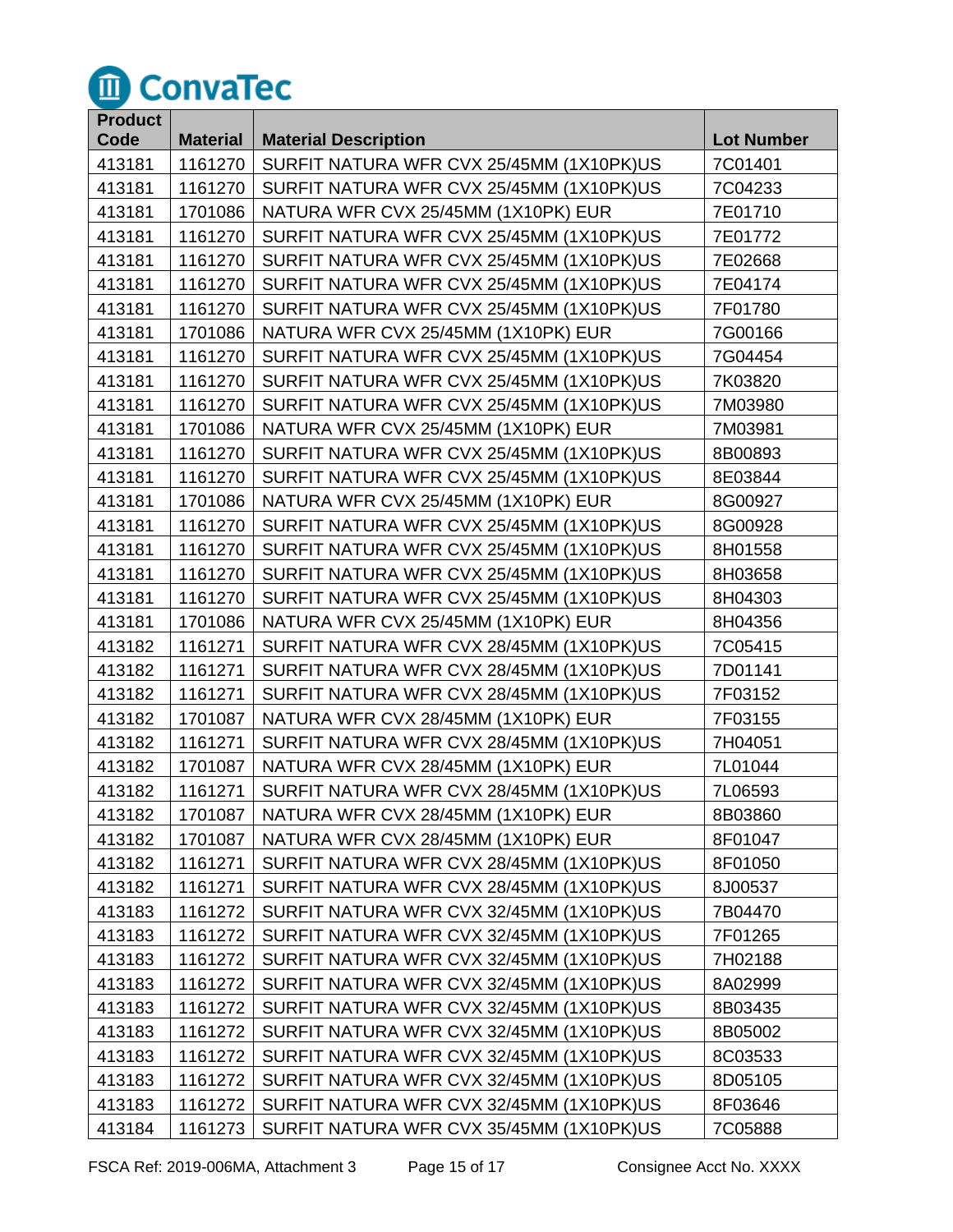

| <b>Product</b> |                 |                                          |                   |
|----------------|-----------------|------------------------------------------|-------------------|
| Code           | <b>Material</b> | <b>Material Description</b>              | <b>Lot Number</b> |
| 413181         | 1161270         | SURFIT NATURA WFR CVX 25/45MM (1X10PK)US | 7C01401           |
| 413181         | 1161270         | SURFIT NATURA WFR CVX 25/45MM (1X10PK)US | 7C04233           |
| 413181         | 1701086         | NATURA WFR CVX 25/45MM (1X10PK) EUR      | 7E01710           |
| 413181         | 1161270         | SURFIT NATURA WFR CVX 25/45MM (1X10PK)US | 7E01772           |
| 413181         | 1161270         | SURFIT NATURA WFR CVX 25/45MM (1X10PK)US | 7E02668           |
| 413181         | 1161270         | SURFIT NATURA WFR CVX 25/45MM (1X10PK)US | 7E04174           |
| 413181         | 1161270         | SURFIT NATURA WFR CVX 25/45MM (1X10PK)US | 7F01780           |
| 413181         | 1701086         | NATURA WFR CVX 25/45MM (1X10PK) EUR      | 7G00166           |
| 413181         | 1161270         | SURFIT NATURA WFR CVX 25/45MM (1X10PK)US | 7G04454           |
| 413181         | 1161270         | SURFIT NATURA WFR CVX 25/45MM (1X10PK)US | 7K03820           |
| 413181         | 1161270         | SURFIT NATURA WFR CVX 25/45MM (1X10PK)US | 7M03980           |
| 413181         | 1701086         | NATURA WFR CVX 25/45MM (1X10PK) EUR      | 7M03981           |
| 413181         | 1161270         | SURFIT NATURA WFR CVX 25/45MM (1X10PK)US | 8B00893           |
| 413181         | 1161270         | SURFIT NATURA WFR CVX 25/45MM (1X10PK)US | 8E03844           |
| 413181         | 1701086         | NATURA WFR CVX 25/45MM (1X10PK) EUR      | 8G00927           |
| 413181         | 1161270         | SURFIT NATURA WFR CVX 25/45MM (1X10PK)US | 8G00928           |
| 413181         | 1161270         | SURFIT NATURA WFR CVX 25/45MM (1X10PK)US | 8H01558           |
| 413181         | 1161270         | SURFIT NATURA WFR CVX 25/45MM (1X10PK)US | 8H03658           |
| 413181         | 1161270         | SURFIT NATURA WFR CVX 25/45MM (1X10PK)US | 8H04303           |
| 413181         | 1701086         | NATURA WFR CVX 25/45MM (1X10PK) EUR      | 8H04356           |
| 413182         | 1161271         | SURFIT NATURA WFR CVX 28/45MM (1X10PK)US | 7C05415           |
| 413182         | 1161271         | SURFIT NATURA WFR CVX 28/45MM (1X10PK)US | 7D01141           |
| 413182         | 1161271         | SURFIT NATURA WFR CVX 28/45MM (1X10PK)US | 7F03152           |
| 413182         | 1701087         | NATURA WFR CVX 28/45MM (1X10PK) EUR      | 7F03155           |
| 413182         | 1161271         | SURFIT NATURA WFR CVX 28/45MM (1X10PK)US | 7H04051           |
| 413182         | 1701087         | NATURA WFR CVX 28/45MM (1X10PK) EUR      | 7L01044           |
| 413182         | 1161271         | SURFIT NATURA WFR CVX 28/45MM (1X10PK)US | 7L06593           |
| 413182         | 1701087         | NATURA WFR CVX 28/45MM (1X10PK) EUR      | 8B03860           |
| 413182         | 1701087         | NATURA WFR CVX 28/45MM (1X10PK) EUR      | 8F01047           |
| 413182         | 1161271         | SURFIT NATURA WFR CVX 28/45MM (1X10PK)US | 8F01050           |
| 413182         | 1161271         | SURFIT NATURA WFR CVX 28/45MM (1X10PK)US | 8J00537           |
| 413183         | 1161272         | SURFIT NATURA WFR CVX 32/45MM (1X10PK)US | 7B04470           |
| 413183         | 1161272         | SURFIT NATURA WFR CVX 32/45MM (1X10PK)US | 7F01265           |
| 413183         | 1161272         | SURFIT NATURA WFR CVX 32/45MM (1X10PK)US | 7H02188           |
| 413183         | 1161272         | SURFIT NATURA WFR CVX 32/45MM (1X10PK)US | 8A02999           |
| 413183         | 1161272         | SURFIT NATURA WFR CVX 32/45MM (1X10PK)US | 8B03435           |
| 413183         | 1161272         | SURFIT NATURA WFR CVX 32/45MM (1X10PK)US | 8B05002           |
| 413183         | 1161272         | SURFIT NATURA WFR CVX 32/45MM (1X10PK)US | 8C03533           |
| 413183         | 1161272         | SURFIT NATURA WFR CVX 32/45MM (1X10PK)US | 8D05105           |
| 413183         | 1161272         | SURFIT NATURA WFR CVX 32/45MM (1X10PK)US | 8F03646           |
| 413184         | 1161273         | SURFIT NATURA WFR CVX 35/45MM (1X10PK)US | 7C05888           |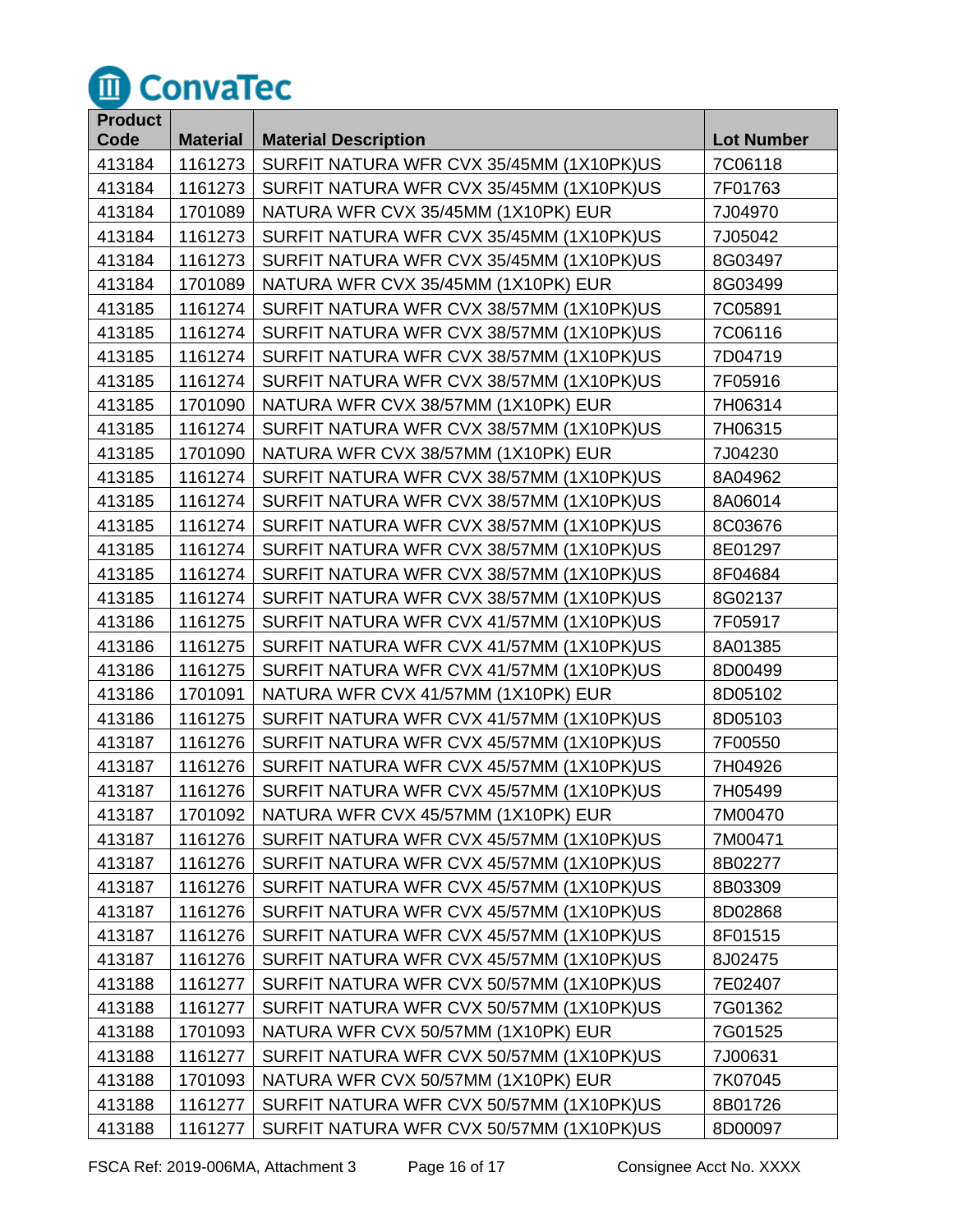

| <b>Product</b> |                 |                                          |                   |
|----------------|-----------------|------------------------------------------|-------------------|
| Code           | <b>Material</b> | <b>Material Description</b>              | <b>Lot Number</b> |
| 413184         | 1161273         | SURFIT NATURA WFR CVX 35/45MM (1X10PK)US | 7C06118           |
| 413184         | 1161273         | SURFIT NATURA WFR CVX 35/45MM (1X10PK)US | 7F01763           |
| 413184         | 1701089         | NATURA WFR CVX 35/45MM (1X10PK) EUR      | 7J04970           |
| 413184         | 1161273         | SURFIT NATURA WFR CVX 35/45MM (1X10PK)US | 7J05042           |
| 413184         | 1161273         | SURFIT NATURA WFR CVX 35/45MM (1X10PK)US | 8G03497           |
| 413184         | 1701089         | NATURA WFR CVX 35/45MM (1X10PK) EUR      | 8G03499           |
| 413185         | 1161274         | SURFIT NATURA WFR CVX 38/57MM (1X10PK)US | 7C05891           |
| 413185         | 1161274         | SURFIT NATURA WFR CVX 38/57MM (1X10PK)US | 7C06116           |
| 413185         | 1161274         | SURFIT NATURA WFR CVX 38/57MM (1X10PK)US | 7D04719           |
| 413185         | 1161274         | SURFIT NATURA WFR CVX 38/57MM (1X10PK)US | 7F05916           |
| 413185         | 1701090         | NATURA WFR CVX 38/57MM (1X10PK) EUR      | 7H06314           |
| 413185         | 1161274         | SURFIT NATURA WFR CVX 38/57MM (1X10PK)US | 7H06315           |
| 413185         | 1701090         | NATURA WFR CVX 38/57MM (1X10PK) EUR      | 7J04230           |
| 413185         | 1161274         | SURFIT NATURA WFR CVX 38/57MM (1X10PK)US | 8A04962           |
| 413185         | 1161274         | SURFIT NATURA WFR CVX 38/57MM (1X10PK)US | 8A06014           |
| 413185         | 1161274         | SURFIT NATURA WFR CVX 38/57MM (1X10PK)US | 8C03676           |
| 413185         | 1161274         | SURFIT NATURA WFR CVX 38/57MM (1X10PK)US | 8E01297           |
| 413185         | 1161274         | SURFIT NATURA WFR CVX 38/57MM (1X10PK)US | 8F04684           |
| 413185         | 1161274         | SURFIT NATURA WFR CVX 38/57MM (1X10PK)US | 8G02137           |
| 413186         | 1161275         | SURFIT NATURA WFR CVX 41/57MM (1X10PK)US | 7F05917           |
| 413186         | 1161275         | SURFIT NATURA WFR CVX 41/57MM (1X10PK)US | 8A01385           |
| 413186         | 1161275         | SURFIT NATURA WFR CVX 41/57MM (1X10PK)US | 8D00499           |
| 413186         | 1701091         | NATURA WFR CVX 41/57MM (1X10PK) EUR      | 8D05102           |
| 413186         | 1161275         | SURFIT NATURA WFR CVX 41/57MM (1X10PK)US | 8D05103           |
| 413187         | 1161276         | SURFIT NATURA WFR CVX 45/57MM (1X10PK)US | 7F00550           |
| 413187         | 1161276         | SURFIT NATURA WFR CVX 45/57MM (1X10PK)US | 7H04926           |
| 413187         | 1161276         | SURFIT NATURA WFR CVX 45/57MM (1X10PK)US | 7H05499           |
| 413187         | 1701092         | NATURA WFR CVX 45/57MM (1X10PK) EUR      | 7M00470           |
| 413187         | 1161276         | SURFIT NATURA WFR CVX 45/57MM (1X10PK)US | 7M00471           |
| 413187         | 1161276         | SURFIT NATURA WFR CVX 45/57MM (1X10PK)US | 8B02277           |
| 413187         | 1161276         | SURFIT NATURA WFR CVX 45/57MM (1X10PK)US | 8B03309           |
| 413187         | 1161276         | SURFIT NATURA WFR CVX 45/57MM (1X10PK)US | 8D02868           |
| 413187         | 1161276         | SURFIT NATURA WFR CVX 45/57MM (1X10PK)US | 8F01515           |
| 413187         | 1161276         | SURFIT NATURA WFR CVX 45/57MM (1X10PK)US | 8J02475           |
| 413188         | 1161277         | SURFIT NATURA WFR CVX 50/57MM (1X10PK)US | 7E02407           |
| 413188         | 1161277         | SURFIT NATURA WFR CVX 50/57MM (1X10PK)US | 7G01362           |
| 413188         | 1701093         | NATURA WFR CVX 50/57MM (1X10PK) EUR      | 7G01525           |
| 413188         | 1161277         | SURFIT NATURA WFR CVX 50/57MM (1X10PK)US | 7J00631           |
| 413188         | 1701093         | NATURA WFR CVX 50/57MM (1X10PK) EUR      | 7K07045           |
| 413188         | 1161277         | SURFIT NATURA WFR CVX 50/57MM (1X10PK)US | 8B01726           |
| 413188         | 1161277         | SURFIT NATURA WFR CVX 50/57MM (1X10PK)US | 8D00097           |